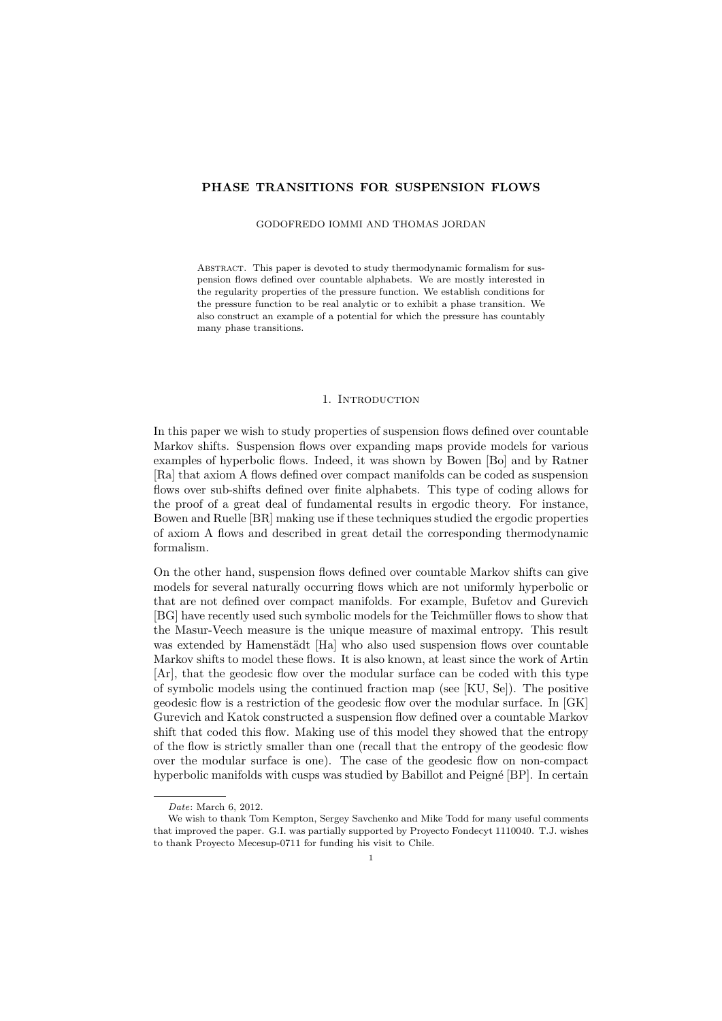## PHASE TRANSITIONS FOR SUSPENSION FLOWS

#### GODOFREDO IOMMI AND THOMAS JORDAN

Abstract. This paper is devoted to study thermodynamic formalism for suspension flows defined over countable alphabets. We are mostly interested in the regularity properties of the pressure function. We establish conditions for the pressure function to be real analytic or to exhibit a phase transition. We also construct an example of a potential for which the pressure has countably many phase transitions.

## 1. INTRODUCTION

In this paper we wish to study properties of suspension flows defined over countable Markov shifts. Suspension flows over expanding maps provide models for various examples of hyperbolic flows. Indeed, it was shown by Bowen [Bo] and by Ratner [Ra] that axiom A flows defined over compact manifolds can be coded as suspension flows over sub-shifts defined over finite alphabets. This type of coding allows for the proof of a great deal of fundamental results in ergodic theory. For instance, Bowen and Ruelle [BR] making use if these techniques studied the ergodic properties of axiom A flows and described in great detail the corresponding thermodynamic formalism.

On the other hand, suspension flows defined over countable Markov shifts can give models for several naturally occurring flows which are not uniformly hyperbolic or that are not defined over compact manifolds. For example, Bufetov and Gurevich [BG] have recently used such symbolic models for the Teichm¨uller flows to show that the Masur-Veech measure is the unique measure of maximal entropy. This result was extended by Hamenstädt [Ha] who also used suspension flows over countable Markov shifts to model these flows. It is also known, at least since the work of Artin [Ar], that the geodesic flow over the modular surface can be coded with this type of symbolic models using the continued fraction map (see [KU, Se]). The positive geodesic flow is a restriction of the geodesic flow over the modular surface. In [GK] Gurevich and Katok constructed a suspension flow defined over a countable Markov shift that coded this flow. Making use of this model they showed that the entropy of the flow is strictly smaller than one (recall that the entropy of the geodesic flow over the modular surface is one). The case of the geodesic flow on non-compact hyperbolic manifolds with cusps was studied by Babillot and Peigné [BP]. In certain

Date: March 6, 2012.

We wish to thank Tom Kempton, Sergey Savchenko and Mike Todd for many useful comments that improved the paper. G.I. was partially supported by Proyecto Fondecyt 1110040. T.J. wishes to thank Proyecto Mecesup-0711 for funding his visit to Chile.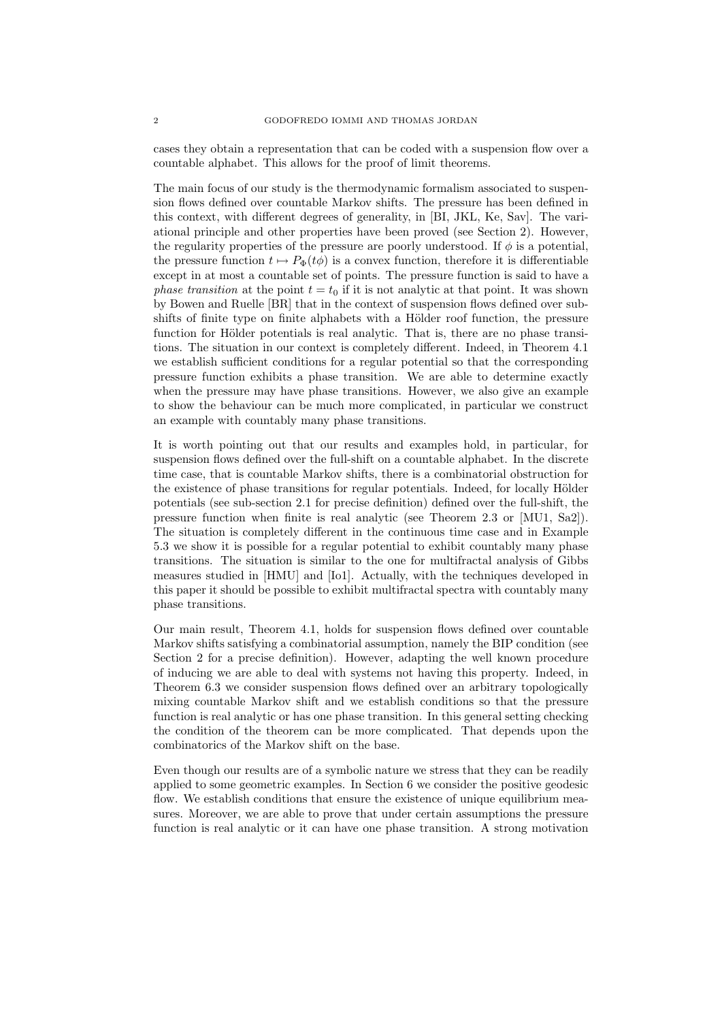cases they obtain a representation that can be coded with a suspension flow over a countable alphabet. This allows for the proof of limit theorems.

The main focus of our study is the thermodynamic formalism associated to suspension flows defined over countable Markov shifts. The pressure has been defined in this context, with different degrees of generality, in [BI, JKL, Ke, Sav]. The variational principle and other properties have been proved (see Section 2). However, the regularity properties of the pressure are poorly understood. If  $\phi$  is a potential, the pressure function  $t \mapsto P_{\Phi}(t\phi)$  is a convex function, therefore it is differentiable except in at most a countable set of points. The pressure function is said to have a phase transition at the point  $t = t_0$  if it is not analytic at that point. It was shown by Bowen and Ruelle [BR] that in the context of suspension flows defined over subshifts of finite type on finite alphabets with a Hölder roof function, the pressure function for Hölder potentials is real analytic. That is, there are no phase transitions. The situation in our context is completely different. Indeed, in Theorem 4.1 we establish sufficient conditions for a regular potential so that the corresponding pressure function exhibits a phase transition. We are able to determine exactly when the pressure may have phase transitions. However, we also give an example to show the behaviour can be much more complicated, in particular we construct an example with countably many phase transitions.

It is worth pointing out that our results and examples hold, in particular, for suspension flows defined over the full-shift on a countable alphabet. In the discrete time case, that is countable Markov shifts, there is a combinatorial obstruction for the existence of phase transitions for regular potentials. Indeed, for locally Hölder potentials (see sub-section 2.1 for precise definition) defined over the full-shift, the pressure function when finite is real analytic (see Theorem 2.3 or [MU1, Sa2]). The situation is completely different in the continuous time case and in Example 5.3 we show it is possible for a regular potential to exhibit countably many phase transitions. The situation is similar to the one for multifractal analysis of Gibbs measures studied in [HMU] and [Io1]. Actually, with the techniques developed in this paper it should be possible to exhibit multifractal spectra with countably many phase transitions.

Our main result, Theorem 4.1, holds for suspension flows defined over countable Markov shifts satisfying a combinatorial assumption, namely the BIP condition (see Section 2 for a precise definition). However, adapting the well known procedure of inducing we are able to deal with systems not having this property. Indeed, in Theorem 6.3 we consider suspension flows defined over an arbitrary topologically mixing countable Markov shift and we establish conditions so that the pressure function is real analytic or has one phase transition. In this general setting checking the condition of the theorem can be more complicated. That depends upon the combinatorics of the Markov shift on the base.

Even though our results are of a symbolic nature we stress that they can be readily applied to some geometric examples. In Section 6 we consider the positive geodesic flow. We establish conditions that ensure the existence of unique equilibrium measures. Moreover, we are able to prove that under certain assumptions the pressure function is real analytic or it can have one phase transition. A strong motivation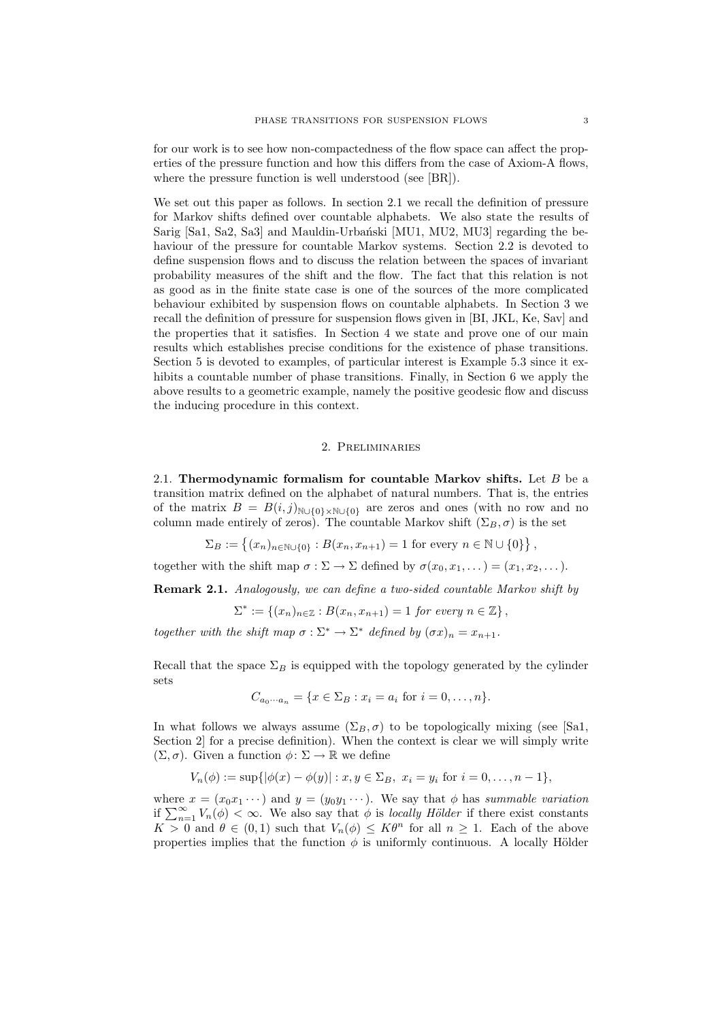for our work is to see how non-compactedness of the flow space can affect the properties of the pressure function and how this differs from the case of Axiom-A flows, where the pressure function is well understood (see [BR]).

We set out this paper as follows. In section 2.1 we recall the definition of pressure for Markov shifts defined over countable alphabets. We also state the results of Sarig [Sa1, Sa2, Sa3] and Mauldin-Urbański [MU1, MU2, MU3] regarding the behaviour of the pressure for countable Markov systems. Section 2.2 is devoted to define suspension flows and to discuss the relation between the spaces of invariant probability measures of the shift and the flow. The fact that this relation is not as good as in the finite state case is one of the sources of the more complicated behaviour exhibited by suspension flows on countable alphabets. In Section 3 we recall the definition of pressure for suspension flows given in [BI, JKL, Ke, Sav] and the properties that it satisfies. In Section 4 we state and prove one of our main results which establishes precise conditions for the existence of phase transitions. Section 5 is devoted to examples, of particular interest is Example 5.3 since it exhibits a countable number of phase transitions. Finally, in Section 6 we apply the above results to a geometric example, namely the positive geodesic flow and discuss the inducing procedure in this context.

## 2. Preliminaries

2.1. Thermodynamic formalism for countable Markov shifts. Let  $B$  be a transition matrix defined on the alphabet of natural numbers. That is, the entries of the matrix  $B = B(i, j)_{\mathbb{N}\cup\{0\}\times\mathbb{N}\cup\{0\}}$  are zeros and ones (with no row and no column made entirely of zeros). The countable Markov shift  $(\Sigma_B, \sigma)$  is the set

$$
\Sigma_B := \left\{ (x_n)_{n \in \mathbb{N} \cup \{0\}} : B(x_n, x_{n+1}) = 1 \text{ for every } n \in \mathbb{N} \cup \{0\} \right\},\
$$

together with the shift map  $\sigma : \Sigma \to \Sigma$  defined by  $\sigma(x_0, x_1, \dots) = (x_1, x_2, \dots)$ .

Remark 2.1. Analogously, we can define a two-sided countable Markov shift by

$$
\Sigma^* := \{(x_n)_{n \in \mathbb{Z}} : B(x_n, x_{n+1}) = 1 \text{ for every } n \in \mathbb{Z}\},
$$

together with the shift map  $\sigma : \Sigma^* \to \Sigma^*$  defined by  $(\sigma x)_n = x_{n+1}$ .

Recall that the space  $\Sigma_B$  is equipped with the topology generated by the cylinder sets

$$
C_{a_0 \cdots a_n} = \{ x \in \Sigma_B : x_i = a_i \text{ for } i = 0, \ldots, n \}.
$$

In what follows we always assume  $(\Sigma_B, \sigma)$  to be topologically mixing (see [Sa1, Section 2] for a precise definition). When the context is clear we will simply write  $(\Sigma, \sigma)$ . Given a function  $\phi \colon \Sigma \to \mathbb{R}$  we define

$$
V_n(\phi) := \sup\{|\phi(x) - \phi(y)| : x, y \in \Sigma_B, x_i = y_i \text{ for } i = 0, ..., n-1\},\
$$

where  $x = (x_0x_1 \cdots)$  and  $y = (y_0y_1 \cdots)$ . We say that  $\phi$  has summable variation if  $\sum_{n=1}^{\infty} V_n(\phi) < \infty$ . We also say that  $\phi$  is *locally Hölder* if there exist constants  $K > 0$  and  $\theta \in (0,1)$  such that  $V_n(\phi) \leq K\theta^n$  for all  $n \geq 1$ . Each of the above properties implies that the function  $\phi$  is uniformly continuous. A locally Hölder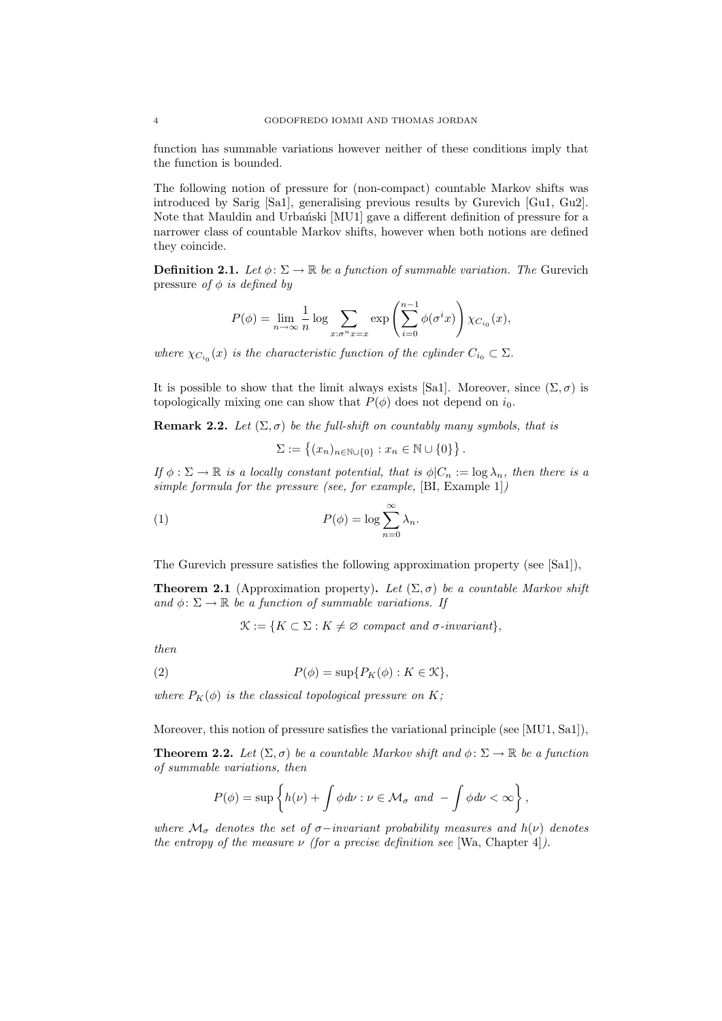function has summable variations however neither of these conditions imply that the function is bounded.

The following notion of pressure for (non-compact) countable Markov shifts was introduced by Sarig [Sa1], generalising previous results by Gurevich [Gu1, Gu2]. Note that Mauldin and Urbański [MU1] gave a different definition of pressure for a narrower class of countable Markov shifts, however when both notions are defined they coincide.

**Definition 2.1.** Let  $\phi: \Sigma \to \mathbb{R}$  be a function of summable variation. The Gurevich pressure of  $\phi$  is defined by

$$
P(\phi) = \lim_{n \to \infty} \frac{1}{n} \log \sum_{x: \sigma^n x = x} \exp \left( \sum_{i=0}^{n-1} \phi(\sigma^i x) \right) \chi_{C_{i_0}}(x),
$$

where  $\chi_{C_{i_0}}(x)$  is the characteristic function of the cylinder  $C_{i_0} \subset \Sigma$ .

It is possible to show that the limit always exists [Sa1]. Moreover, since  $(\Sigma, \sigma)$  is topologically mixing one can show that  $P(\phi)$  does not depend on  $i_0$ .

**Remark 2.2.** Let  $(\Sigma, \sigma)$  be the full-shift on countably many symbols, that is

 $\Sigma := \{(x_n)_{n \in \mathbb{N} \cup \{0\}} : x_n \in \mathbb{N} \cup \{0\}\}\.$ 

If  $\phi : \Sigma \to \mathbb{R}$  is a locally constant potential, that is  $\phi | C_n := \log \lambda_n$ , then there is a simple formula for the pressure (see, for example, [BI, Example 1])

(1) 
$$
P(\phi) = \log \sum_{n=0}^{\infty} \lambda_n.
$$

The Gurevich pressure satisfies the following approximation property (see [Sa1]),

**Theorem 2.1** (Approximation property). Let  $(\Sigma, \sigma)$  be a countable Markov shift and  $\phi \colon \Sigma \to \mathbb{R}$  be a function of summable variations. If

 $\mathcal{K} := \{K \subset \Sigma : K \neq \emptyset \text{ compact and } \sigma\text{-invariant}\},\$ 

then

(2) 
$$
P(\phi) = \sup \{ P_K(\phi) : K \in \mathcal{K} \},
$$

where  $P_K(\phi)$  is the classical topological pressure on K;

Moreover, this notion of pressure satisfies the variational principle (see [MU1, Sa1]),

**Theorem 2.2.** Let  $(\Sigma, \sigma)$  be a countable Markov shift and  $\phi : \Sigma \to \mathbb{R}$  be a function of summable variations, then

$$
P(\phi) = \sup \left\{ h(\nu) + \int \phi \, d\nu : \nu \in \mathcal{M}_{\sigma} \text{ and } -\int \phi \, d\nu < \infty \right\},\,
$$

where  $\mathcal{M}_{\sigma}$  denotes the set of  $\sigma$ -invariant probability measures and  $h(\nu)$  denotes the entropy of the measure  $\nu$  (for a precise definition see [Wa, Chapter 4]).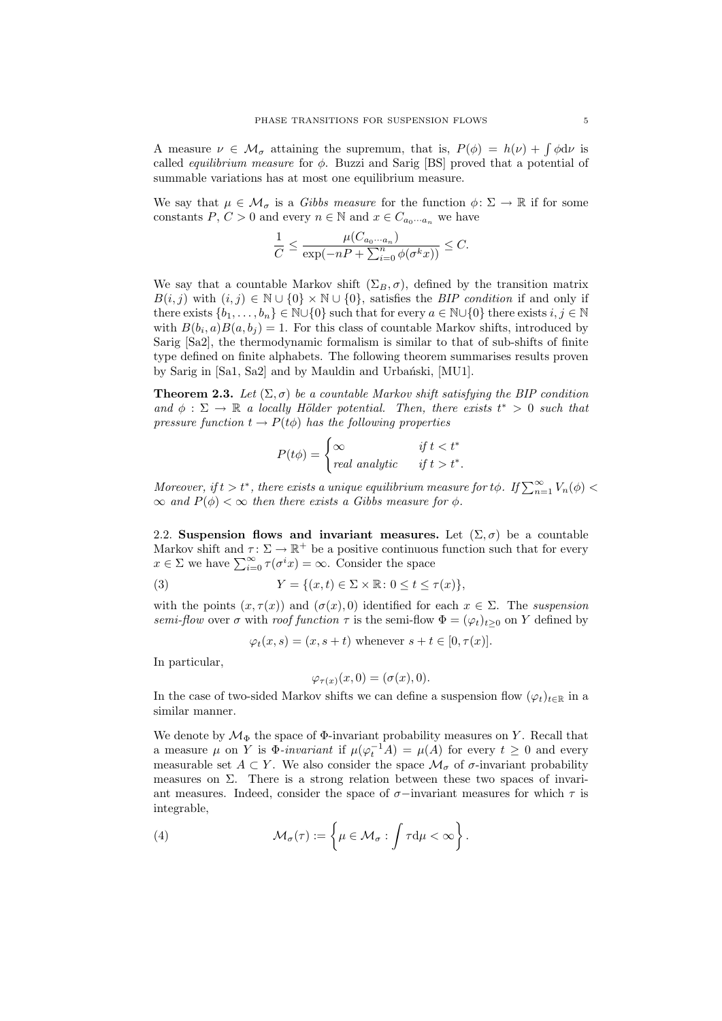A measure  $\nu \in \mathcal{M}_{\sigma}$  attaining the supremum, that is,  $P(\phi) = h(\nu) + \int \phi d\nu$  is called *equilibrium measure* for  $\phi$ . Buzzi and Sarig [BS] proved that a potential of summable variations has at most one equilibrium measure.

We say that  $\mu \in \mathcal{M}_{\sigma}$  is a *Gibbs measure* for the function  $\phi \colon \Sigma \to \mathbb{R}$  if for some constants P,  $C > 0$  and every  $n \in \mathbb{N}$  and  $x \in C_{a_0 \cdots a_n}$  we have

$$
\frac{1}{C} \le \frac{\mu(C_{a_0\cdots a_n})}{\exp(-nP + \sum_{i=0}^n \phi(\sigma^k x))} \le C.
$$

We say that a countable Markov shift  $(\Sigma_B, \sigma)$ , defined by the transition matrix  $B(i, j)$  with  $(i, j) \in \mathbb{N} \cup \{0\} \times \mathbb{N} \cup \{0\}$ , satisfies the *BIP condition* if and only if there exists  $\{b_1, \ldots, b_n\} \in \mathbb{N} \cup \{0\}$  such that for every  $a \in \mathbb{N} \cup \{0\}$  there exists  $i, j \in \mathbb{N}$ with  $B(b_i, a)B(a, b_j) = 1$ . For this class of countable Markov shifts, introduced by Sarig [Sa2], the thermodynamic formalism is similar to that of sub-shifts of finite type defined on finite alphabets. The following theorem summarises results proven by Sarig in [Sa1, Sa2] and by Mauldin and Urbański, [MU1].

**Theorem 2.3.** Let  $(\Sigma, \sigma)$  be a countable Markov shift satisfying the BIP condition and  $\phi : \Sigma \to \mathbb{R}$  a locally Hölder potential. Then, there exists  $t^* > 0$  such that pressure function  $t \to P(t\phi)$  has the following properties

$$
P(t\phi) = \begin{cases} \infty & \text{if } t < t^* \\ real \text{ analytic} & \text{if } t > t^*. \end{cases}
$$

Moreover, if  $t > t^*$ , there exists a unique equilibrium measure for  $t\phi$ . If  $\sum_{n=1}^{\infty} V_n(\phi)$  $\infty$  and  $P(\phi) < \infty$  then there exists a Gibbs measure for  $\phi$ .

2.2. Suspension flows and invariant measures. Let  $(\Sigma, \sigma)$  be a countable Markov shift and  $\tau: \Sigma \to \mathbb{R}^+$  be a positive continuous function such that for every  $x \in \Sigma$  we have  $\sum_{i=0}^{\infty} \tau(\sigma^i x) = \infty$ . Consider the space

(3)  $Y = \{(x, t) \in \Sigma \times \mathbb{R} : 0 \le t \le \tau(x)\},\$ 

with the points  $(x, \tau(x))$  and  $(\sigma(x), 0)$  identified for each  $x \in \Sigma$ . The suspension semi-flow over  $\sigma$  with roof function  $\tau$  is the semi-flow  $\Phi = (\varphi_t)_{t>0}$  on Y defined by

 $\varphi_t(x, s) = (x, s + t)$  whenever  $s + t \in [0, \tau(x)].$ 

In particular,

$$
\varphi_{\tau(x)}(x,0) = (\sigma(x),0).
$$

In the case of two-sided Markov shifts we can define a suspension flow  $(\varphi_t)_{t\in\mathbb{R}}$  in a similar manner.

We denote by  $\mathcal{M}_{\Phi}$  the space of  $\Phi$ -invariant probability measures on Y. Recall that a measure  $\mu$  on Y is  $\Phi$ -invariant if  $\mu(\varphi_t^{-1}A) = \mu(A)$  for every  $t \geq 0$  and every measurable set  $A \subset Y$ . We also consider the space  $\mathcal{M}_{\sigma}$  of  $\sigma$ -invariant probability measures on  $\Sigma$ . There is a strong relation between these two spaces of invariant measures. Indeed, consider the space of  $\sigma$ −invariant measures for which  $\tau$  is integrable,

(4) 
$$
\mathcal{M}_{\sigma}(\tau) := \left\{ \mu \in \mathcal{M}_{\sigma} : \int \tau d\mu < \infty \right\}.
$$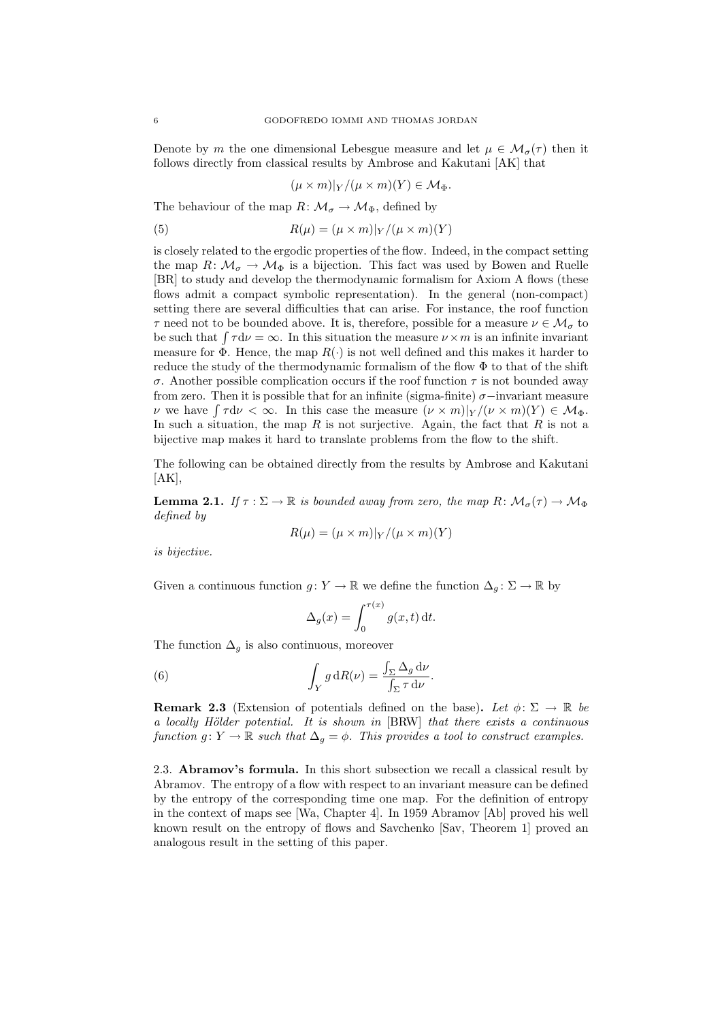Denote by m the one dimensional Lebesgue measure and let  $\mu \in M_{\sigma}(\tau)$  then it follows directly from classical results by Ambrose and Kakutani [AK] that

$$
(\mu \times m)|_Y/(\mu \times m)(Y) \in \mathcal{M}_{\Phi}.
$$

The behaviour of the map  $R: \mathcal{M}_{\sigma} \to \mathcal{M}_{\Phi}$ , defined by

(5) 
$$
R(\mu) = (\mu \times m)|_Y / (\mu \times m)(Y)
$$

is closely related to the ergodic properties of the flow. Indeed, in the compact setting the map  $R: \mathcal{M}_{\sigma} \to \mathcal{M}_{\Phi}$  is a bijection. This fact was used by Bowen and Ruelle [BR] to study and develop the thermodynamic formalism for Axiom A flows (these flows admit a compact symbolic representation). In the general (non-compact) setting there are several difficulties that can arise. For instance, the roof function  $\tau$  need not to be bounded above. It is, therefore, possible for a measure  $\nu \in \mathcal{M}_{\sigma}$  to be such that  $\int \tau d\nu = \infty$ . In this situation the measure  $\nu \times m$  is an infinite invariant measure for  $\Phi$ . Hence, the map  $R(\cdot)$  is not well defined and this makes it harder to reduce the study of the thermodynamic formalism of the flow  $\Phi$  to that of the shift σ. Another possible complication occurs if the roof function τ is not bounded away from zero. Then it is possible that for an infinite (sigma-finite)  $\sigma$ -invariant measure v we have  $\int \tau d\nu < \infty$ . In this case the measure  $(\nu \times m)|_Y/(\nu \times m)(Y) \in \mathcal{M}_{\Phi}$ . In such a situation, the map R is not surjective. Again, the fact that R is not a bijective map makes it hard to translate problems from the flow to the shift.

The following can be obtained directly from the results by Ambrose and Kakutani  $|AK|,$ 

**Lemma 2.1.** If  $\tau : \Sigma \to \mathbb{R}$  is bounded away from zero, the map  $R: \mathcal{M}_{\sigma}(\tau) \to \mathcal{M}_{\Phi}$ defined by

$$
R(\mu) = (\mu \times m)|_Y / (\mu \times m)(Y)
$$

is bijective.

Given a continuous function  $g: Y \to \mathbb{R}$  we define the function  $\Delta_g: \Sigma \to \mathbb{R}$  by

$$
\Delta_g(x) = \int_0^{\tau(x)} g(x, t) dt.
$$

The function  $\Delta_q$  is also continuous, moreover

(6) 
$$
\int_{Y} g \, dR(\nu) = \frac{\int_{\Sigma} \Delta_g \, d\nu}{\int_{\Sigma} \tau \, d\nu}
$$

**Remark 2.3** (Extension of potentials defined on the base). Let  $\phi: \Sigma \to \mathbb{R}$  be a locally Hölder potential. It is shown in [BRW] that there exists a continuous function  $g: Y \to \mathbb{R}$  such that  $\Delta_g = \phi$ . This provides a tool to construct examples.

.

2.3. Abramov's formula. In this short subsection we recall a classical result by Abramov. The entropy of a flow with respect to an invariant measure can be defined by the entropy of the corresponding time one map. For the definition of entropy in the context of maps see [Wa, Chapter 4]. In 1959 Abramov [Ab] proved his well known result on the entropy of flows and Savchenko [Sav, Theorem 1] proved an analogous result in the setting of this paper.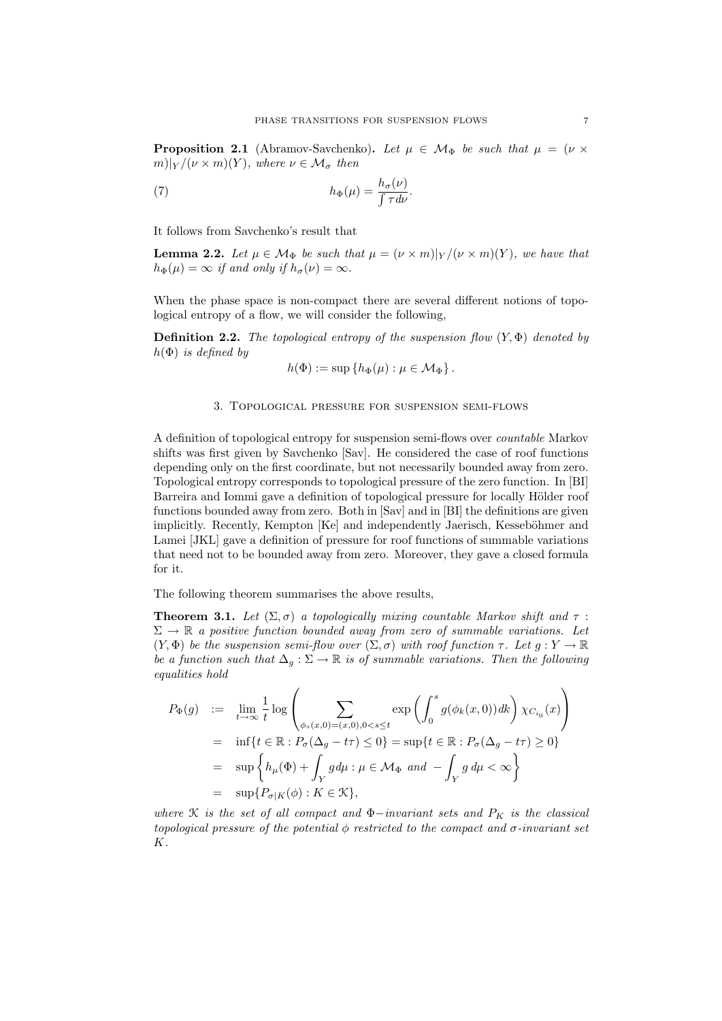**Proposition 2.1** (Abramov-Savchenko). Let  $\mu \in \mathcal{M}_{\Phi}$  be such that  $\mu = (\nu \times$  $m)|_Y/(\nu \times m)(Y)$ , where  $\nu \in \mathcal{M}_{\sigma}$  then

(7) 
$$
h_{\Phi}(\mu) = \frac{h_{\sigma}(\nu)}{\int \tau d\nu}.
$$

It follows from Savchenko's result that

**Lemma 2.2.** Let  $\mu \in \mathcal{M}_{\Phi}$  be such that  $\mu = (\nu \times m)|_Y/(\nu \times m)(Y)$ , we have that  $h_{\Phi}(\mu) = \infty$  if and only if  $h_{\sigma}(\nu) = \infty$ .

When the phase space is non-compact there are several different notions of topological entropy of a flow, we will consider the following,

**Definition 2.2.** The topological entropy of the suspension flow  $(Y, \Phi)$  denoted by  $h(\Phi)$  is defined by

$$
h(\Phi) := \sup \left\{ h_{\Phi}(\mu) : \mu \in \mathcal{M}_{\Phi} \right\}.
$$

## 3. Topological pressure for suspension semi-flows

A definition of topological entropy for suspension semi-flows over countable Markov shifts was first given by Savchenko [Sav]. He considered the case of roof functions depending only on the first coordinate, but not necessarily bounded away from zero. Topological entropy corresponds to topological pressure of the zero function. In [BI] Barreira and Iommi gave a definition of topological pressure for locally Hölder roof functions bounded away from zero. Both in [Sav] and in [BI] the definitions are given implicitly. Recently, Kempton [Ke] and independently Jaerisch, Kesseböhmer and Lamei [JKL] gave a definition of pressure for roof functions of summable variations that need not to be bounded away from zero. Moreover, they gave a closed formula for it.

The following theorem summarises the above results,

**Theorem 3.1.** Let  $(\Sigma, \sigma)$  a topologically mixing countable Markov shift and  $\tau$ :  $\Sigma \to \mathbb{R}$  a positive function bounded away from zero of summable variations. Let  $(Y, \Phi)$  be the suspension semi-flow over  $(\Sigma, \sigma)$  with roof function  $\tau$ . Let  $g: Y \to \mathbb{R}$ be a function such that  $\Delta_q : \Sigma \to \mathbb{R}$  is of summable variations. Then the following equalities hold

$$
P_{\Phi}(g) := \lim_{t \to \infty} \frac{1}{t} \log \left( \sum_{\phi_s(x,0) = (x,0), 0 < s \le t} \exp \left( \int_0^s g(\phi_k(x,0)) \, dk \right) \chi_{C_{i_0}}(x) \right)
$$
\n
$$
= \inf \{ t \in \mathbb{R} : P_{\sigma}(\Delta_g - t\tau) \le 0 \} = \sup \{ t \in \mathbb{R} : P_{\sigma}(\Delta_g - t\tau) \ge 0 \}
$$
\n
$$
= \sup \left\{ h_{\mu}(\Phi) + \int_Y g \, d\mu : \mu \in \mathcal{M}_{\Phi} \text{ and } - \int_Y g \, d\mu < \infty \right\}
$$
\n
$$
= \sup \{ P_{\sigma|K}(\phi) : K \in \mathcal{K} \},
$$

where  $K$  is the set of all compact and  $\Phi$ -invariant sets and  $P_K$  is the classical topological pressure of the potential  $\phi$  restricted to the compact and  $\sigma$ -invariant set K.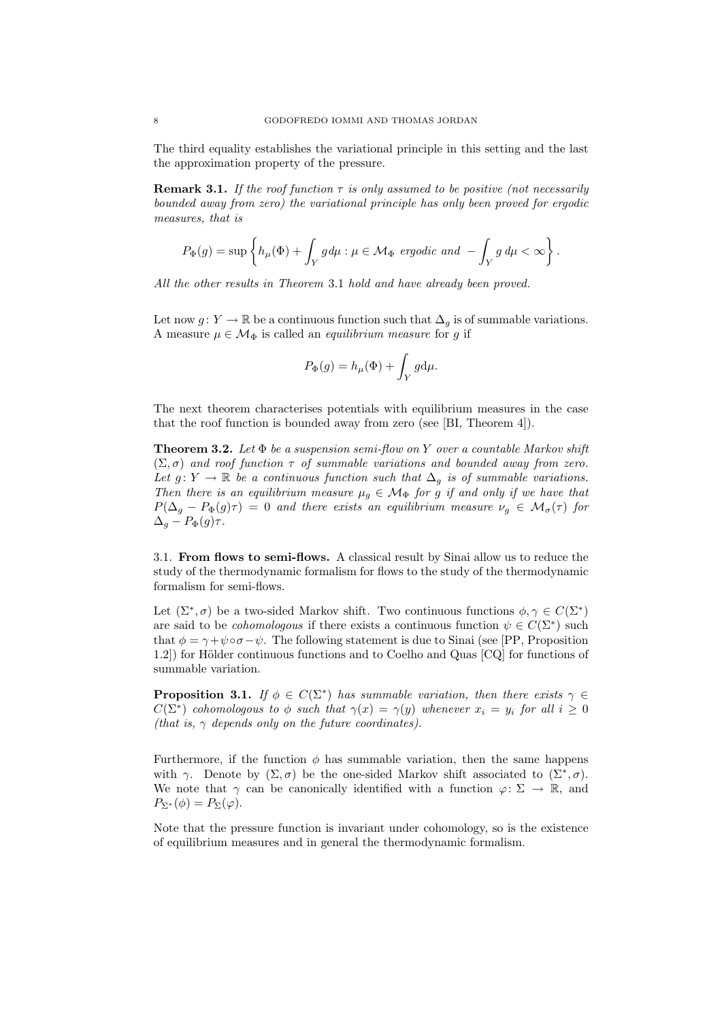The third equality establishes the variational principle in this setting and the last the approximation property of the pressure.

**Remark 3.1.** If the roof function  $\tau$  is only assumed to be positive (not necessarily bounded away from zero) the variational principle has only been proved for ergodic measures, that is

$$
P_{\Phi}(g) = \sup \left\{ h_{\mu}(\Phi) + \int_{Y} g d\mu : \mu \in \mathcal{M}_{\Phi} \text{ ergodic and } - \int_{Y} g d\mu < \infty \right\}.
$$

All the other results in Theorem 3.1 hold and have already been proved.

Let now  $g: Y \to \mathbb{R}$  be a continuous function such that  $\Delta_q$  is of summable variations. A measure  $\mu \in \mathcal{M}_{\Phi}$  is called an *equilibrium measure* for g if

$$
P_{\Phi}(g) = h_{\mu}(\Phi) + \int_{Y} g d\mu.
$$

The next theorem characterises potentials with equilibrium measures in the case that the roof function is bounded away from zero (see [BI, Theorem 4]).

**Theorem 3.2.** Let  $\Phi$  be a suspension semi-flow on Y over a countable Markov shift  $(\Sigma, \sigma)$  and roof function  $\tau$  of summable variations and bounded away from zero. Let  $g: Y \to \mathbb{R}$  be a continuous function such that  $\Delta_q$  is of summable variations. Then there is an equilibrium measure  $\mu_g \in \mathcal{M}_{\Phi}$  for g if and only if we have that  $P(\Delta_g - P_{\Phi}(g)\tau) = 0$  and there exists an equilibrium measure  $\nu_g \in \mathcal{M}_{\sigma}(\tau)$  for  $\Delta_g - P_{\Phi}(g) \tau$ .

3.1. From flows to semi-flows. A classical result by Sinai allow us to reduce the study of the thermodynamic formalism for flows to the study of the thermodynamic formalism for semi-flows.

Let  $(\Sigma^*, \sigma)$  be a two-sided Markov shift. Two continuous functions  $\phi, \gamma \in C(\Sigma^*)$ are said to be *cohomologous* if there exists a continuous function  $\psi \in C(\Sigma^*)$  such that  $\phi = \gamma + \psi \circ \sigma - \psi$ . The following statement is due to Sinai (see [PP, Proposition 1.2) for Hölder continuous functions and to Coelho and Quas [CQ] for functions of summable variation.

**Proposition 3.1.** If  $\phi \in C(\Sigma^*)$  has summable variation, then there exists  $\gamma \in$  $C(\Sigma^*)$  cohomologous to  $\phi$  such that  $\gamma(x) = \gamma(y)$  whenever  $x_i = y_i$  for all  $i \geq 0$ (that is,  $\gamma$  depends only on the future coordinates).

Furthermore, if the function  $\phi$  has summable variation, then the same happens with  $\gamma$ . Denote by  $(\Sigma, \sigma)$  be the one-sided Markov shift associated to  $(\Sigma^*, \sigma)$ . We note that  $\gamma$  can be canonically identified with a function  $\varphi: \Sigma \to \mathbb{R}$ , and  $P_{\Sigma^*}(\phi) = P_{\Sigma}(\varphi).$ 

Note that the pressure function is invariant under cohomology, so is the existence of equilibrium measures and in general the thermodynamic formalism.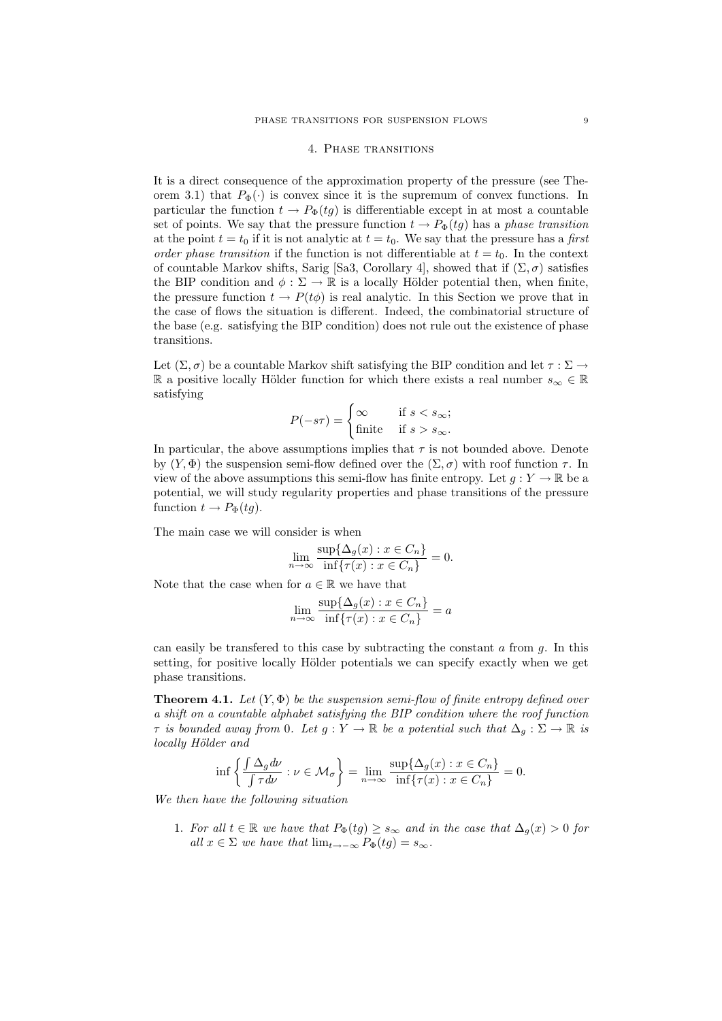### 4. Phase transitions

It is a direct consequence of the approximation property of the pressure (see Theorem 3.1) that  $P_{\Phi}(\cdot)$  is convex since it is the supremum of convex functions. In particular the function  $t \to P_{\Phi}(tq)$  is differentiable except in at most a countable set of points. We say that the pressure function  $t \to P_{\Phi}(tg)$  has a phase transition at the point  $t = t_0$  if it is not analytic at  $t = t_0$ . We say that the pressure has a first order phase transition if the function is not differentiable at  $t = t_0$ . In the context of countable Markov shifts, Sarig [Sa3, Corollary 4], showed that if  $(\Sigma, \sigma)$  satisfies the BIP condition and  $\phi : \Sigma \to \mathbb{R}$  is a locally Hölder potential then, when finite, the pressure function  $t \to P(t\phi)$  is real analytic. In this Section we prove that in the case of flows the situation is different. Indeed, the combinatorial structure of the base (e.g. satisfying the BIP condition) does not rule out the existence of phase transitions.

Let  $(\Sigma, \sigma)$  be a countable Markov shift satisfying the BIP condition and let  $\tau : \Sigma \to$ R a positive locally Hölder function for which there exists a real number  $s_{\infty} \in \mathbb{R}$ satisfying

$$
P(-s\tau) = \begin{cases} \infty & \text{if } s < s_{\infty}; \\ \text{finite} & \text{if } s > s_{\infty}. \end{cases}
$$

In particular, the above assumptions implies that  $\tau$  is not bounded above. Denote by  $(Y, \Phi)$  the suspension semi-flow defined over the  $(\Sigma, \sigma)$  with roof function  $\tau$ . In view of the above assumptions this semi-flow has finite entropy. Let  $g: Y \to \mathbb{R}$  be a potential, we will study regularity properties and phase transitions of the pressure function  $t \to P_{\Phi}(tg)$ .

The main case we will consider is when

$$
\lim_{n \to \infty} \frac{\sup \{ \Delta_g(x) : x \in C_n \}}{\inf \{ \tau(x) : x \in C_n \}} = 0.
$$

Note that the case when for  $a \in \mathbb{R}$  we have that

$$
\lim_{n \to \infty} \frac{\sup \{ \Delta_g(x) : x \in C_n \}}{\inf \{ \tau(x) : x \in C_n \}} = a
$$

can easily be transferred to this case by subtracting the constant  $a$  from  $g$ . In this setting, for positive locally Hölder potentials we can specify exactly when we get phase transitions.

**Theorem 4.1.** Let  $(Y, \Phi)$  be the suspension semi-flow of finite entropy defined over a shift on a countable alphabet satisfying the BIP condition where the roof function  $\tau$  is bounded away from 0. Let  $g: Y \to \mathbb{R}$  be a potential such that  $\Delta_g: \Sigma \to \mathbb{R}$  is locally Hölder and

$$
\inf \left\{ \frac{\int \Delta_g d\nu}{\int \tau d\nu} : \nu \in \mathcal{M}_\sigma \right\} = \lim_{n \to \infty} \frac{\sup \{ \Delta_g(x) : x \in C_n \}}{\inf \{ \tau(x) : x \in C_n \}} = 0.
$$

We then have the following situation

1. For all  $t \in \mathbb{R}$  we have that  $P_{\Phi}(tg) \geq s_{\infty}$  and in the case that  $\Delta_q(x) > 0$  for all  $x \in \Sigma$  we have that  $\lim_{t \to -\infty} P_{\Phi}(t) = s_{\infty}$ .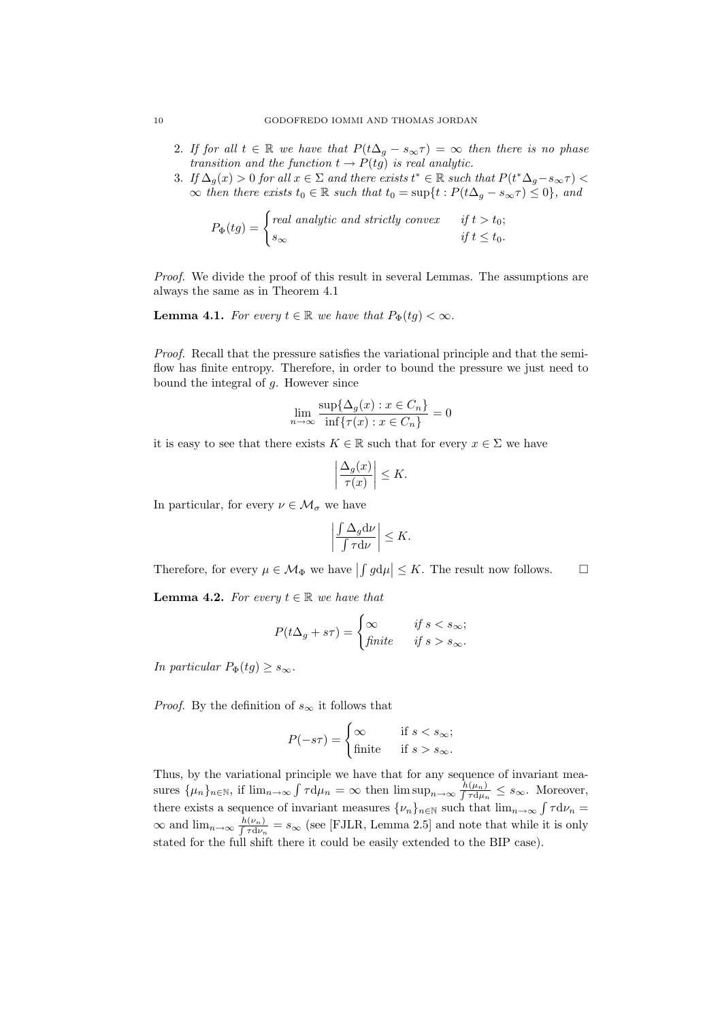- 2. If for all  $t \in \mathbb{R}$  we have that  $P(t\Delta_g s_\infty \tau) = \infty$  then there is no phase transition and the function  $t \to P(tg)$  is real analytic.
- 3. If  $\Delta_g(x) > 0$  for all  $x \in \Sigma$  and there exists  $t^* \in \mathbb{R}$  such that  $P(t^* \Delta_g s_\infty \tau) <$  $\infty$  then there exists  $t_0 \in \mathbb{R}$  such that  $t_0 = \sup\{t : P(t\Delta_g - s_\infty \tau) \leq 0\}$ , and

$$
P_{\Phi}(tg) = \begin{cases} real \ analytic \ and \ strictly \ convex & \text{if } t > t_0; \\ s_{\infty} & \text{if } t \leq t_0. \end{cases}
$$

Proof. We divide the proof of this result in several Lemmas. The assumptions are always the same as in Theorem 4.1

**Lemma 4.1.** For every  $t \in \mathbb{R}$  we have that  $P_{\Phi}(tq) < \infty$ .

Proof. Recall that the pressure satisfies the variational principle and that the semiflow has finite entropy. Therefore, in order to bound the pressure we just need to bound the integral of  $q$ . However since

$$
\lim_{n \to \infty} \frac{\sup \{ \Delta_g(x) : x \in C_n \}}{\inf \{ \tau(x) : x \in C_n \}} = 0
$$

it is easy to see that there exists  $K \in \mathbb{R}$  such that for every  $x \in \Sigma$  we have

$$
\left|\frac{\Delta_g(x)}{\tau(x)}\right| \le K.
$$

In particular, for every  $\nu \in \mathcal{M}_{\sigma}$  we have

$$
\left|\frac{\int \Delta_g \mathrm{d}\nu}{\int \tau \mathrm{d}\nu}\right| \leq K.
$$

Therefore, for every  $\mu \in \mathcal{M}_{\Phi}$  we have  $| \int g d\mu | \leq K$ . The result now follows.  $\Box$ 

**Lemma 4.2.** For every  $t \in \mathbb{R}$  we have that

$$
P(t\Delta_g + s\tau) = \begin{cases} \infty & \text{if } s < s_{\infty}; \\ \text{finite} & \text{if } s > s_{\infty}. \end{cases}
$$

In particular  $P_{\Phi}(tg) \geq s_{\infty}$ .

*Proof.* By the definition of  $s_{\infty}$  it follows that

$$
P(-s\tau) = \begin{cases} \infty & \text{if } s < s_{\infty}; \\ \text{finite} & \text{if } s > s_{\infty}. \end{cases}
$$

Thus, by the variational principle we have that for any sequence of invariant measures  $\{\mu_n\}_{n\in\mathbb{N}}$ , if  $\lim_{n\to\infty}\int \tau d\mu_n = \infty$  then  $\limsup_{n\to\infty}\frac{h(\mu_n)}{\int \tau d\mu_n} \leq s_\infty$ . Moreover, there exists a sequence of invariant measures  $\{\nu_n\}_{n\in\mathbb{N}}$  such that  $\lim_{n\to\infty}\int \tau d\nu_n =$  $\infty$  and lim<sub>n→∞</sub>  $\frac{h(\nu_n)}{f \tau d\nu_n} = s_{\infty}$  (see [FJLR, Lemma 2.5] and note that while it is only stated for the full shift there it could be easily extended to the BIP case).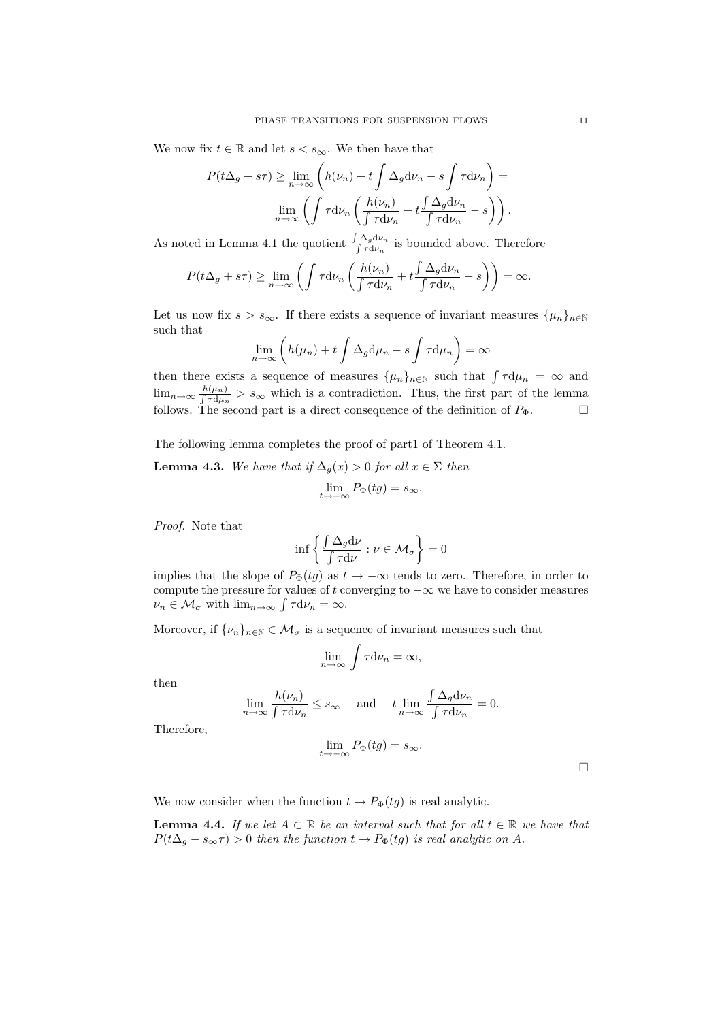We now fix  $t \in \mathbb{R}$  and let  $s < s_{\infty}$ . We then have that

$$
P(t\Delta_g + s\tau) \ge \lim_{n \to \infty} \left( h(\nu_n) + t \int \Delta_g \mathrm{d}\nu_n - s \int \tau \mathrm{d}\nu_n \right) =
$$

$$
\lim_{n \to \infty} \left( \int \tau \mathrm{d}\nu_n \left( \frac{h(\nu_n)}{\int \tau \mathrm{d}\nu_n} + t \frac{\int \Delta_g \mathrm{d}\nu_n}{\int \tau \mathrm{d}\nu_n} - s \right) \right).
$$

As noted in Lemma 4.1 the quotient  $\frac{\int \Delta_g d\nu_n}{\int \tau d\nu_n}$  is bounded above. Therefore

$$
P(t\Delta_g + s\tau) \ge \lim_{n \to \infty} \left( \int \tau \mathrm{d}\nu_n \left( \frac{h(\nu_n)}{\int \tau \mathrm{d}\nu_n} + t \frac{\int \Delta_g \mathrm{d}\nu_n}{\int \tau \mathrm{d}\nu_n} - s \right) \right) = \infty.
$$

Let us now fix  $s > s_{\infty}$ . If there exists a sequence of invariant measures  $\{\mu_n\}_{n\in\mathbb{N}}$ such that

$$
\lim_{n \to \infty} \left( h(\mu_n) + t \int \Delta_g \mathrm{d}\mu_n - s \int \tau \mathrm{d}\mu_n \right) = \infty
$$

then there exists a sequence of measures  $\{\mu_n\}_{n\in\mathbb{N}}$  such that  $\int \tau d\mu_n = \infty$  and  $\lim_{n\to\infty}\frac{h(\mu_n)}{\int \tau d\mu_n} > s_\infty$  which is a contradiction. Thus, the first part of the lemma follows. The second part is a direct consequence of the definition of  $P_{\Phi}$ .

The following lemma completes the proof of part1 of Theorem 4.1.

**Lemma 4.3.** We have that if  $\Delta_g(x) > 0$  for all  $x \in \Sigma$  then  $\lim_{t\to -\infty} P_{\Phi}(tg) = s_{\infty}.$ 

Proof. Note that

$$
\inf \left\{ \frac{\int \Delta_g \mathrm{d}\nu}{\int \tau \mathrm{d}\nu} : \nu \in \mathcal{M}_\sigma \right\} = 0
$$

implies that the slope of  $P_{\Phi}(tg)$  as  $t \to -\infty$  tends to zero. Therefore, in order to compute the pressure for values of t converging to  $-\infty$  we have to consider measures  $\nu_n \in \mathcal{M}_{\sigma}$  with  $\lim_{n \to \infty} \int \tau d\nu_n = \infty$ .

Moreover, if  $\{\nu_n\}_{n\in\mathbb{N}}\in\mathcal{M}_{\sigma}$  is a sequence of invariant measures such that

$$
\lim_{n \to \infty} \int \tau \mathrm{d} \nu_n = \infty,
$$

then

$$
\lim_{n \to \infty} \frac{h(\nu_n)}{\int \tau d\nu_n} \le s_\infty \quad \text{and} \quad t \lim_{n \to \infty} \frac{\int \Delta_g d\nu_n}{\int \tau d\nu_n} = 0.
$$

Therefore,

$$
\lim_{t \to -\infty} P_{\Phi}(tg) = s_{\infty}.
$$

 $\Box$ 

We now consider when the function  $t \to P_{\Phi}(tq)$  is real analytic.

**Lemma 4.4.** If we let  $A \subset \mathbb{R}$  be an interval such that for all  $t \in \mathbb{R}$  we have that  $P(t\Delta_g - s_\infty \tau) > 0$  then the function  $t \to P_{\Phi}(tg)$  is real analytic on A.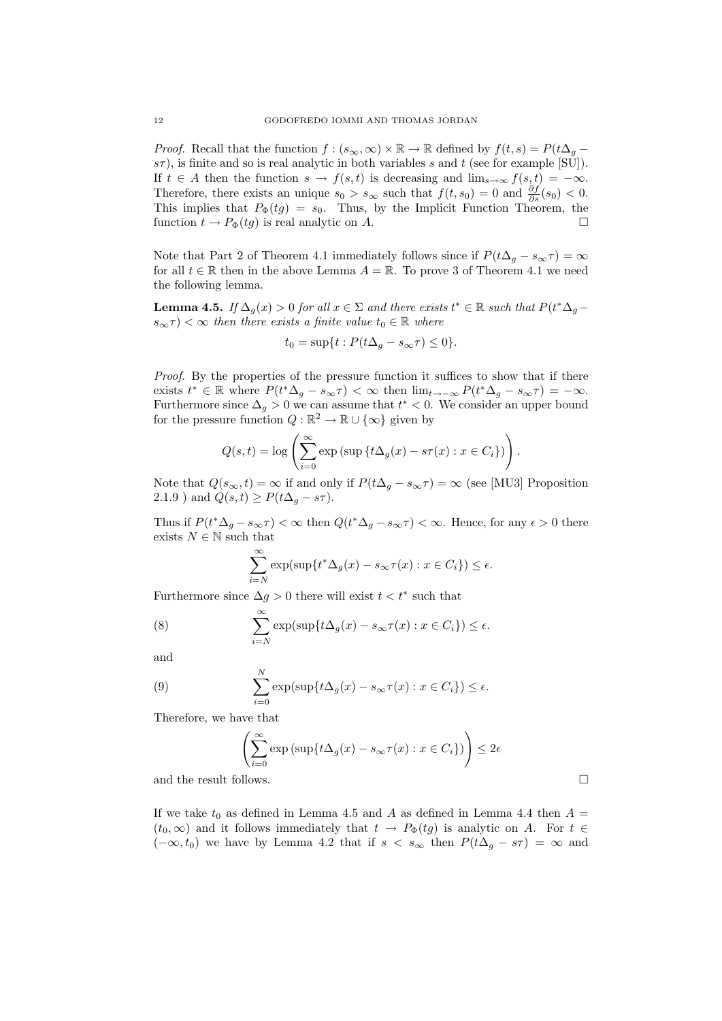*Proof.* Recall that the function  $f : (s_{\infty}, \infty) \times \mathbb{R} \to \mathbb{R}$  defined by  $f(t, s) = P(t\Delta_g$  $s\tau$ ), is finite and so is real analytic in both variables s and t (see for example [SU]). If  $t \in A$  then the function  $s \to f(s,t)$  is decreasing and  $\lim_{s\to\infty} f(s,t) = -\infty$ . Therefore, there exists an unique  $s_0 > s_\infty$  such that  $f(t, s_0) = 0$  and  $\frac{\partial f}{\partial s}(s_0) < 0$ . This implies that  $P_{\Phi}(tg) = s_0$ . Thus, by the Implicit Function Theorem, the function  $t \to P_{\Phi}(tg)$  is real analytic on A.

Note that Part 2 of Theorem 4.1 immediately follows since if  $P(t\Delta_g - s_\infty \tau) = \infty$ for all  $t \in \mathbb{R}$  then in the above Lemma  $A = \mathbb{R}$ . To prove 3 of Theorem 4.1 we need the following lemma.

**Lemma 4.5.** If  $\Delta_g(x) > 0$  for all  $x \in \Sigma$  and there exists  $t^* \in \mathbb{R}$  such that  $P(t^* \Delta_g$  $s_{\infty} \tau$   $<$   $\infty$  then there exists a finite value  $t_0 \in \mathbb{R}$  where

$$
t_0 = \sup\{t : P(t\Delta_g - s_\infty \tau) \le 0\}.
$$

Proof. By the properties of the pressure function it suffices to show that if there exists  $t^* \in \mathbb{R}$  where  $P(t^* \Delta_g - s_\infty \tau) < \infty$  then  $\lim_{t \to -\infty} P(t^* \Delta_g - s_\infty \tau) = -\infty$ . Furthermore since  $\Delta_g > 0$  we can assume that  $t^* < 0$ . We consider an upper bound for the pressure function  $Q : \mathbb{R}^2 \to \mathbb{R} \cup {\infty}$  given by

$$
Q(s,t) = \log \left( \sum_{i=0}^{\infty} \exp \left( \sup \{ t \Delta_g(x) - s\tau(x) : x \in C_i \} \right) \right).
$$

Note that  $Q(s_{\infty}, t) = \infty$  if and only if  $P(t\Delta_g - s_{\infty}\tau) = \infty$  (see [MU3] Proposition 2.1.9) and  $Q(s,t) \geq P(t\Delta_g - s\tau)$ .

Thus if  $P(t^*\Delta_g - s_\infty \tau) < \infty$  then  $Q(t^*\Delta_g - s_\infty \tau) < \infty$ . Hence, for any  $\epsilon > 0$  there exists  $N\in\mathbb{N}$  such that

$$
\sum_{i=N}^{\infty} \exp(\sup\{t^* \Delta_g(x) - s_\infty \tau(x) : x \in C_i\}) \le \epsilon.
$$

Furthermore since  $\Delta g > 0$  there will exist  $t < t^*$  such that

(8) 
$$
\sum_{i=N}^{\infty} \exp(\sup\{t\Delta_g(x) - s_{\infty}\tau(x) : x \in C_i\}) \le \epsilon.
$$

and

(9) 
$$
\sum_{i=0}^{N} \exp(\sup\{t\Delta_g(x) - s_\infty\tau(x) : x \in C_i\}) \le \epsilon.
$$

Therefore, we have that

$$
\left(\sum_{i=0}^{\infty} \exp\left(\sup\{t\Delta_g(x) - s_\infty\tau(x) : x \in C_i\}\right)\right) \le 2\epsilon
$$

and the result follows.

If we take  $t_0$  as defined in Lemma 4.5 and A as defined in Lemma 4.4 then  $A =$  $(t_0, \infty)$  and it follows immediately that  $t \to P_{\Phi}(tg)$  is analytic on A. For  $t \in$  $(-\infty, t_0)$  we have by Lemma 4.2 that if  $s < s_\infty$  then  $P(t\Delta_q - s\tau) = \infty$  and

$$
\sqcup
$$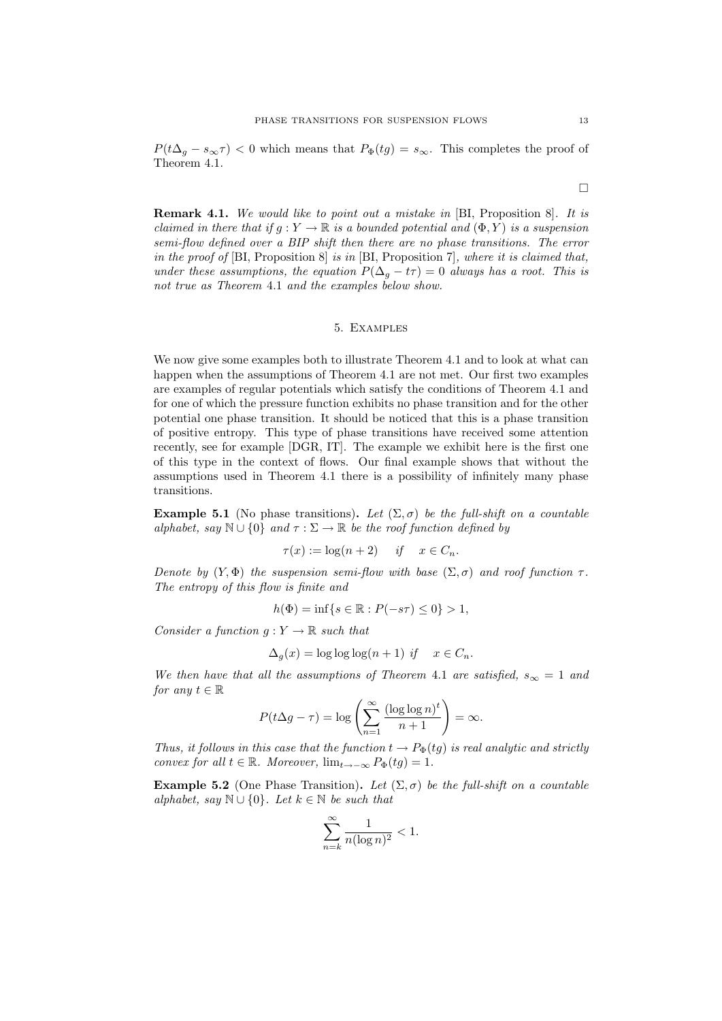$P(t\Delta_g - s_\infty \tau) < 0$  which means that  $P_{\Phi}(tg) = s_\infty$ . This completes the proof of Theorem 4.1.

 $\Box$ 

**Remark 4.1.** We would like to point out a mistake in [BI, Proposition 8]. It is claimed in there that if  $g: Y \to \mathbb{R}$  is a bounded potential and  $(\Phi, Y)$  is a suspension semi-flow defined over a BIP shift then there are no phase transitions. The error in the proof of [BI, Proposition 8] is in [BI, Proposition 7], where it is claimed that, under these assumptions, the equation  $P(\Delta_q - t\tau) = 0$  always has a root. This is not true as Theorem 4.1 and the examples below show.

# 5. Examples

We now give some examples both to illustrate Theorem 4.1 and to look at what can happen when the assumptions of Theorem 4.1 are not met. Our first two examples are examples of regular potentials which satisfy the conditions of Theorem 4.1 and for one of which the pressure function exhibits no phase transition and for the other potential one phase transition. It should be noticed that this is a phase transition of positive entropy. This type of phase transitions have received some attention recently, see for example [DGR, IT]. The example we exhibit here is the first one of this type in the context of flows. Our final example shows that without the assumptions used in Theorem 4.1 there is a possibility of infinitely many phase transitions.

Example 5.1 (No phase transitions). Let  $(\Sigma, \sigma)$  be the full-shift on a countable alphabet, say  $\mathbb{N} \cup \{0\}$  and  $\tau : \Sigma \to \mathbb{R}$  be the roof function defined by

$$
\tau(x) := \log(n+2) \quad \text{if} \quad x \in C_n.
$$

Denote by  $(Y, \Phi)$  the suspension semi-flow with base  $(\Sigma, \sigma)$  and roof function  $\tau$ . The entropy of this flow is finite and

$$
h(\Phi) = \inf \{ s \in \mathbb{R} : P(-s\tau) \le 0 \} > 1,
$$

Consider a function  $q: Y \to \mathbb{R}$  such that

$$
\Delta_g(x) = \log \log \log (n+1) \text{ if } x \in C_n.
$$

We then have that all the assumptions of Theorem 4.1 are satisfied,  $s_{\infty} = 1$  and for any  $t \in \mathbb{R}$ 

$$
P(t\Delta g - \tau) = \log \left( \sum_{n=1}^{\infty} \frac{(\log \log n)^t}{n+1} \right) = \infty.
$$

Thus, it follows in this case that the function  $t \to P_{\Phi}(tg)$  is real analytic and strictly convex for all  $t \in \mathbb{R}$ . Moreover,  $\lim_{t \to -\infty} P_{\Phi}(tg) = 1$ .

Example 5.2 (One Phase Transition). Let  $(\Sigma, \sigma)$  be the full-shift on a countable alphabet, say  $\mathbb{N} \cup \{0\}$ . Let  $k \in \mathbb{N}$  be such that

$$
\sum_{n=k}^{\infty} \frac{1}{n(\log n)^2} < 1.
$$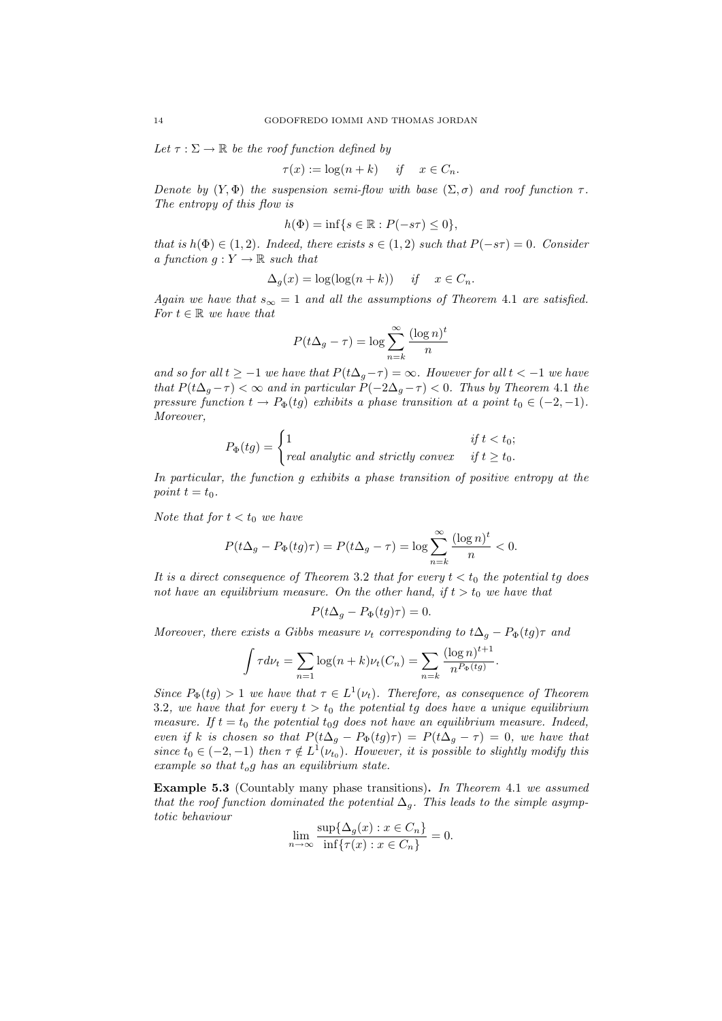Let  $\tau : \Sigma \to \mathbb{R}$  be the roof function defined by

$$
\tau(x) := \log(n + k) \quad \text{if} \quad x \in C_n.
$$

Denote by  $(Y, \Phi)$  the suspension semi-flow with base  $(\Sigma, \sigma)$  and roof function  $\tau$ . The entropy of this flow is

$$
h(\Phi) = \inf\{s \in \mathbb{R} : P(-s\tau) \le 0\},\
$$

that is  $h(\Phi) \in (1,2)$ . Indeed, there exists  $s \in (1,2)$  such that  $P(-s\tau) = 0$ . Consider a function  $g: Y \to \mathbb{R}$  such that

$$
\Delta_g(x) = \log(\log(n+k)) \quad \text{if} \quad x \in C_n.
$$

Again we have that  $s_{\infty} = 1$  and all the assumptions of Theorem 4.1 are satisfied. For  $t \in \mathbb{R}$  we have that

$$
P(t\Delta_g - \tau) = \log \sum_{n=k}^{\infty} \frac{(\log n)^t}{n}
$$

and so for all  $t \ge -1$  we have that  $P(t\Delta_g - \tau) = \infty$ . However for all  $t < -1$  we have that  $P(t\Delta_g - \tau) < \infty$  and in particular  $P(-2\Delta_g - \tau) < 0$ . Thus by Theorem 4.1 the pressure function  $t \to P_{\Phi}(tg)$  exhibits a phase transition at a point  $t_0 \in (-2, -1)$ . Moreover,

$$
P_{\Phi}(tg) = \begin{cases} 1 & \text{if } t < t_0; \\ real analytic and strictly convex & \text{if } t \ge t_0. \end{cases}
$$

In particular, the function g exhibits a phase transition of positive entropy at the point  $t = t_0$ .

Note that for  $t < t_0$  we have

$$
P(t\Delta_g - P_{\Phi}(tg)\tau) = P(t\Delta_g - \tau) = \log \sum_{n=k}^{\infty} \frac{(\log n)^t}{n} < 0.
$$

It is a direct consequence of Theorem 3.2 that for every  $t < t_0$  the potential tg does not have an equilibrium measure. On the other hand, if  $t > t_0$  we have that

$$
P(t\Delta_g - P_{\Phi}(tg)\tau) = 0.
$$

Moreover, there exists a Gibbs measure  $\nu_t$  corresponding to  $t\Delta_g - P_{\Phi}(tg)\tau$  and

$$
\int \tau d\nu_t = \sum_{n=1} \log(n+k)\nu_t(C_n) = \sum_{n=k} \frac{(\log n)^{t+1}}{n^{P_{\Phi}(tg)}}.
$$

Since  $P_{\Phi}(tg) > 1$  we have that  $\tau \in L^1(\nu_t)$ . Therefore, as consequence of Theorem 3.2, we have that for every  $t > t_0$  the potential tg does have a unique equilibrium measure. If  $t = t_0$  the potential  $t_0g$  does not have an equilibrium measure. Indeed, even if k is chosen so that  $P(t\Delta_g - P_{\Phi}(tg)\tau) = P(t\Delta_g - \tau) = 0$ , we have that since  $t_0 \in (-2, -1)$  then  $\tau \notin L^1(\nu_{t_0})$ . However, it is possible to slightly modify this example so that  $t_oq$  has an equilibrium state.

Example 5.3 (Countably many phase transitions). In Theorem 4.1 we assumed that the roof function dominated the potential  $\Delta_q$ . This leads to the simple asymptotic behaviour

$$
\lim_{n \to \infty} \frac{\sup \{ \Delta_g(x) : x \in C_n \}}{\inf \{ \tau(x) : x \in C_n \}} = 0.
$$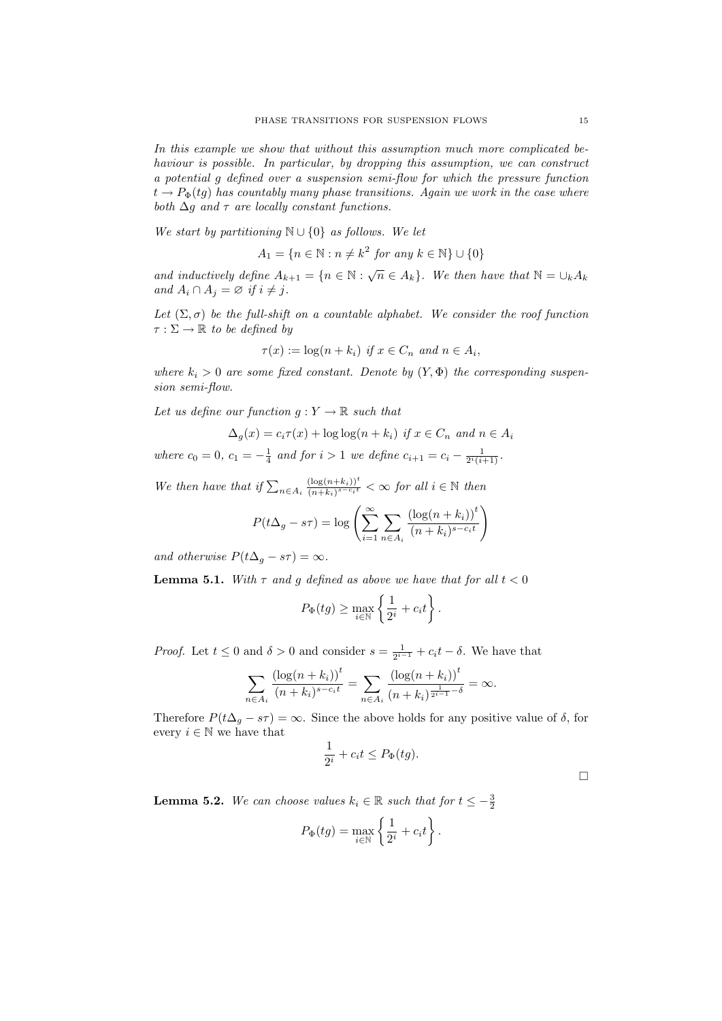In this example we show that without this assumption much more complicated behaviour is possible. In particular, by dropping this assumption, we can construct a potential g defined over a suspension semi-flow for which the pressure function  $t \to P_{\Phi}(tq)$  has countably many phase transitions. Again we work in the case where both  $\Delta q$  and  $\tau$  are locally constant functions.

We start by partitioning  $\mathbb{N} \cup \{0\}$  as follows. We let

$$
A_1 = \{ n \in \mathbb{N} : n \neq k^2 \text{ for any } k \in \mathbb{N} \} \cup \{ 0 \}
$$

and inductively define  $A_{k+1} = \{n \in \mathbb{N} : \sqrt{n} \in A_k\}$ . We then have that  $\mathbb{N} = \bigcup_k A_k$ and  $A_i \cap A_j = \varnothing$  if  $i \neq j$ .

Let  $(\Sigma, \sigma)$  be the full-shift on a countable alphabet. We consider the roof function  $\tau : \Sigma \to \mathbb{R}$  to be defined by

$$
\tau(x) := \log(n + k_i) \text{ if } x \in C_n \text{ and } n \in A_i,
$$

where  $k_i > 0$  are some fixed constant. Denote by  $(Y, \Phi)$  the corresponding suspension semi-flow.

Let us define our function  $g: Y \to \mathbb{R}$  such that

$$
\Delta_g(x) = c_i \tau(x) + \log \log(n + k_i) \text{ if } x \in C_n \text{ and } n \in A_i
$$

where  $c_0 = 0$ ,  $c_1 = -\frac{1}{4}$  and for  $i > 1$  we define  $c_{i+1} = c_i - \frac{1}{2^i(i+1)}$ .

We then have that if  $\sum_{n\in A_i} \frac{(\log(n+k_i))^t}{(n+k_i)^{s-c_i t}}$  $\frac{(\log(n+k_i))^t}{(n+k_i)^{s-c_i t}} < \infty$  for all  $i \in \mathbb{N}$  then

$$
P(t\Delta_g - s\tau) = \log \left( \sum_{i=1}^{\infty} \sum_{n \in A_i} \frac{(\log(n + k_i))^t}{(n + k_i)^{s - c_i t}} \right)
$$

and otherwise  $P(t\Delta_g - s\tau) = \infty$ .

**Lemma 5.1.** With  $\tau$  and  $g$  defined as above we have that for all  $t < 0$ 

$$
P_{\Phi}(tg) \ge \max_{i \in \mathbb{N}} \left\{ \frac{1}{2^i} + c_i t \right\}.
$$

*Proof.* Let  $t \leq 0$  and  $\delta > 0$  and consider  $s = \frac{1}{2^{i-1}} + c_i t - \delta$ . We have that

$$
\sum_{n \in A_i} \frac{(\log(n + k_i))^t}{(n + k_i)^{s - c_i t}} = \sum_{n \in A_i} \frac{(\log(n + k_i))^t}{(n + k_i)^{\frac{1}{2^{i-1}} - \delta}} = \infty.
$$

Therefore  $P(t\Delta_g - s\tau) = \infty$ . Since the above holds for any positive value of  $\delta$ , for every  $i \in \mathbb{N}$  we have that

$$
\frac{1}{2^i} + c_i t \le P_{\Phi}(tg).
$$

**Lemma 5.2.** We can choose values  $k_i \in \mathbb{R}$  such that for  $t \leq -\frac{3}{2}$ 

$$
P_{\Phi}(tg) = \max_{i \in \mathbb{N}} \left\{ \frac{1}{2^i} + c_i t \right\}.
$$

 $\Box$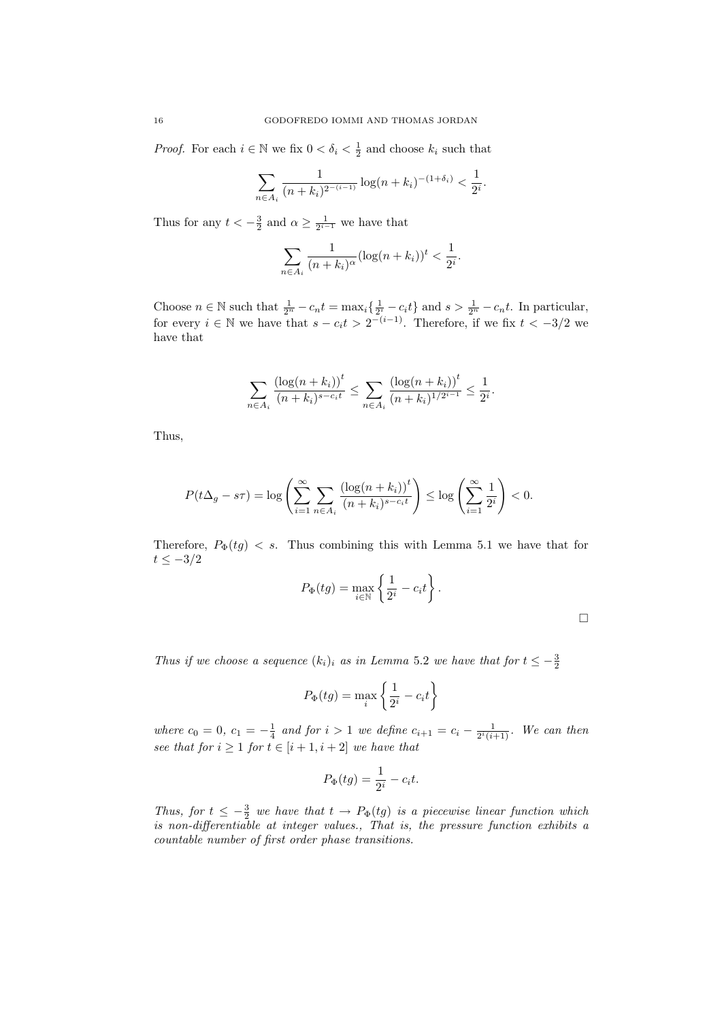*Proof.* For each  $i \in \mathbb{N}$  we fix  $0 < \delta_i < \frac{1}{2}$  and choose  $k_i$  such that

$$
\sum_{n \in A_i} \frac{1}{(n+k_i)^{2^{-(i-1)}}} \log(n+k_i)^{-(1+\delta_i)} < \frac{1}{2^i}.
$$

Thus for any  $t < -\frac{3}{2}$  and  $\alpha \ge \frac{1}{2^{i-1}}$  we have that

$$
\sum_{n \in A_i} \frac{1}{(n+k_i)^{\alpha}} (\log(n+k_i))^t < \frac{1}{2^i}.
$$

Choose  $n \in \mathbb{N}$  such that  $\frac{1}{2^n} - c_n t = \max_i \{ \frac{1}{2^i} - c_i t \}$  and  $s > \frac{1}{2^n} - c_n t$ . In particular, for every  $i \in \mathbb{N}$  we have that  $s - c_i t > 2^{-(i-1)}$ . Therefore, if we fix  $t < -3/2$  we have that

$$
\sum_{n \in A_i} \frac{(\log(n+k_i))^t}{(n+k_i)^{s-c_it}} \le \sum_{n \in A_i} \frac{(\log(n+k_i))^t}{(n+k_i)^{1/2^{i-1}}} \le \frac{1}{2^i}.
$$

Thus,

$$
P(t\Delta_g - s\tau) = \log \left( \sum_{i=1}^{\infty} \sum_{n \in A_i} \frac{(\log(n + k_i))^t}{(n + k_i)^{s - c_i t}} \right) \le \log \left( \sum_{i=1}^{\infty} \frac{1}{2^i} \right) < 0.
$$

Therefore,  $P_{\Phi}(tg) < s$ . Thus combining this with Lemma 5.1 we have that for  $t \leq -3/2$ 

$$
P_{\Phi}(tg) = \max_{i \in \mathbb{N}} \left\{ \frac{1}{2^i} - c_i t \right\}.
$$

Thus if we choose a sequence  $(k_i)_i$  as in Lemma 5.2 we have that for  $t \leq -\frac{3}{2}$ 

$$
P_{\Phi}(tg) = \max_{i} \left\{ \frac{1}{2^{i}} - c_{i}t \right\}
$$

where  $c_0 = 0$ ,  $c_1 = -\frac{1}{4}$  and for  $i > 1$  we define  $c_{i+1} = c_i - \frac{1}{2^i(i+1)}$ . We can then see that for  $i \geq 1$  for  $t \in [i + 1, i + 2]$  we have that

$$
P_{\Phi}(tg) = \frac{1}{2^i} - c_i t.
$$

Thus, for  $t \leq -\frac{3}{2}$  we have that  $t \to P_{\Phi}(tg)$  is a piecewise linear function which is non-differentiable at integer values., That is, the pressure function exhibits a countable number of first order phase transitions.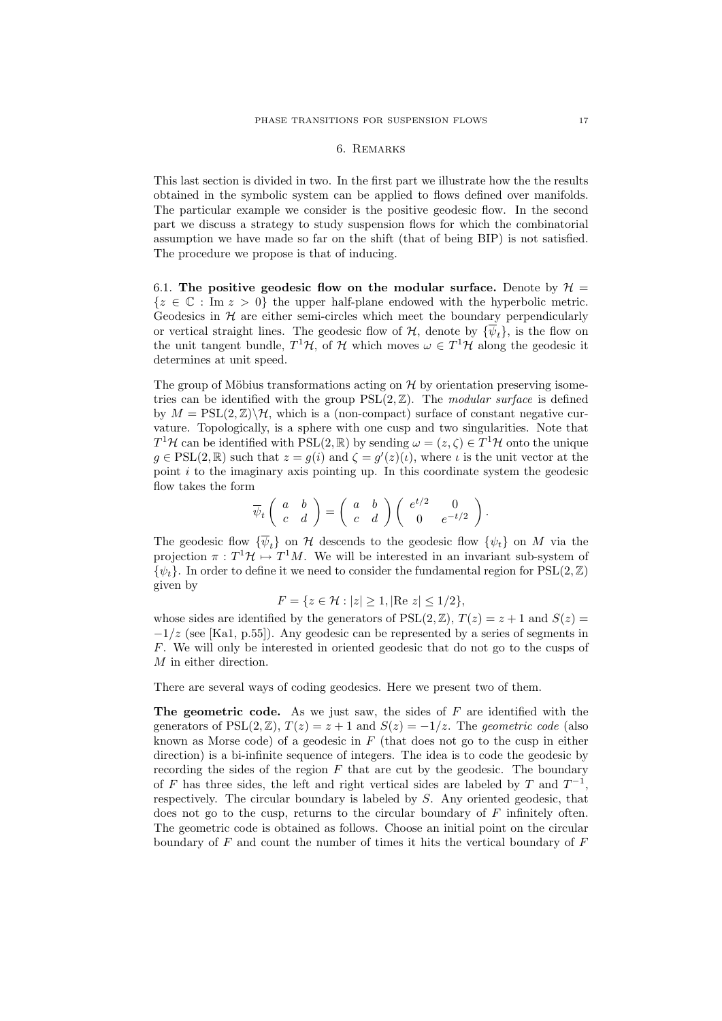### 6. Remarks

This last section is divided in two. In the first part we illustrate how the the results obtained in the symbolic system can be applied to flows defined over manifolds. The particular example we consider is the positive geodesic flow. In the second part we discuss a strategy to study suspension flows for which the combinatorial assumption we have made so far on the shift (that of being BIP) is not satisfied. The procedure we propose is that of inducing.

6.1. The positive geodesic flow on the modular surface. Denote by  $\mathcal{H} =$  $\{z \in \mathbb{C} : \text{Im } z > 0\}$  the upper half-plane endowed with the hyperbolic metric. Geodesics in  $H$  are either semi-circles which meet the boundary perpendicularly or vertical straight lines. The geodesic flow of  $H$ , denote by  $\{\overline{\psi}_t\}$ , is the flow on the unit tangent bundle,  $T^1\mathcal{H}$ , of  $\mathcal{H}$  which moves  $\omega \in T^1\mathcal{H}$  along the geodesic it determines at unit speed.

The group of Möbius transformations acting on  $\mathcal H$  by orientation preserving isometries can be identified with the group  $PSL(2, \mathbb{Z})$ . The modular surface is defined by  $M = \text{PSL}(2, \mathbb{Z})\backslash \mathcal{H}$ , which is a (non-compact) surface of constant negative curvature. Topologically, is a sphere with one cusp and two singularities. Note that  $T^1\mathcal{H}$  can be identified with PSL(2, R) by sending  $\omega = (z, \zeta) \in T^1\mathcal{H}$  onto the unique  $g \in \text{PSL}(2,\mathbb{R})$  such that  $z = g(i)$  and  $\zeta = g'(z)(i)$ , where i is the unit vector at the point  $i$  to the imaginary axis pointing up. In this coordinate system the geodesic flow takes the form

$$
\overline{\psi}_t\left(\begin{array}{cc} a & b \\ c & d \end{array}\right) = \left(\begin{array}{cc} a & b \\ c & d \end{array}\right) \left(\begin{array}{cc} e^{t/2} & 0 \\ 0 & e^{-t/2} \end{array}\right).
$$

The geodesic flow  $\{\overline{\psi}_t\}$  on H descends to the geodesic flow  $\{\psi_t\}$  on M via the projection  $\pi: T^1\mathcal{H} \mapsto T^1M$ . We will be interested in an invariant sub-system of  $\{\psi_t\}.$  In order to define it we need to consider the fundamental region for PSL $(2,\mathbb{Z})$ given by

$$
F = \{ z \in \mathcal{H} : |z| \ge 1, |\text{Re } z| \le 1/2 \},\
$$

whose sides are identified by the generators of  $PSL(2, \mathbb{Z})$ ,  $T(z) = z + 1$  and  $S(z) = z$  $-1/z$  (see [Ka1, p.55]). Any geodesic can be represented by a series of segments in F. We will only be interested in oriented geodesic that do not go to the cusps of M in either direction.

There are several ways of coding geodesics. Here we present two of them.

The geometric code. As we just saw, the sides of  $F$  are identified with the generators of PSL(2,  $\mathbb{Z}$ ),  $T(z) = z + 1$  and  $S(z) = -1/z$ . The geometric code (also known as Morse code) of a geodesic in  $F$  (that does not go to the cusp in either direction) is a bi-infinite sequence of integers. The idea is to code the geodesic by recording the sides of the region  $F$  that are cut by the geodesic. The boundary of F has three sides, the left and right vertical sides are labeled by T and  $T^{-1}$ , respectively. The circular boundary is labeled by S. Any oriented geodesic, that does not go to the cusp, returns to the circular boundary of  $F$  infinitely often. The geometric code is obtained as follows. Choose an initial point on the circular boundary of  $F$  and count the number of times it hits the vertical boundary of  $F$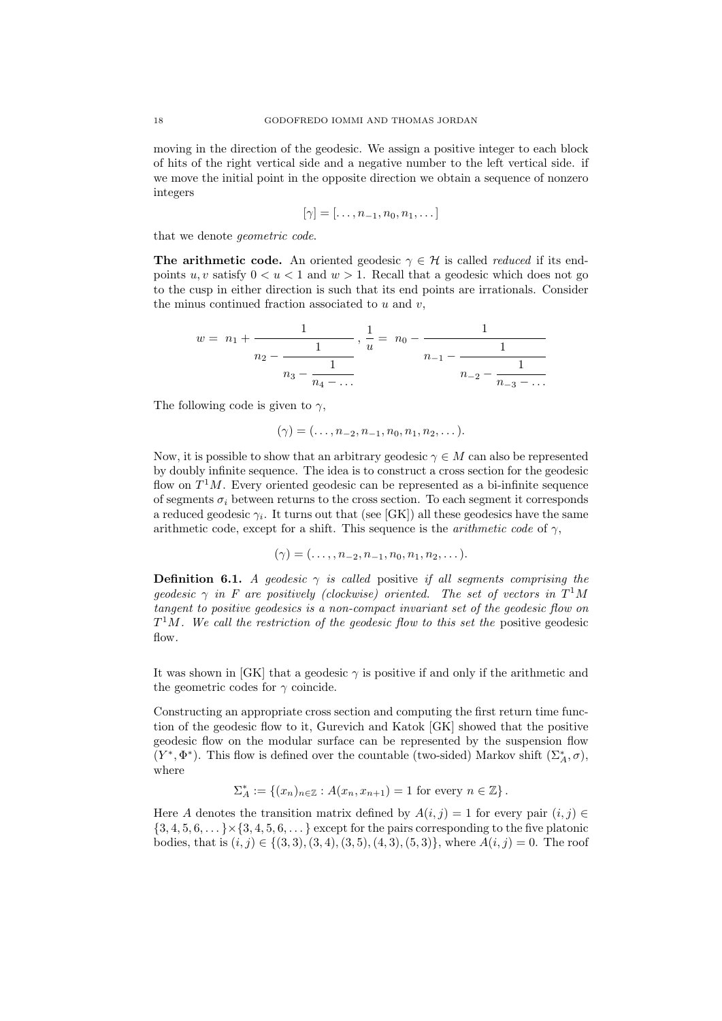moving in the direction of the geodesic. We assign a positive integer to each block of hits of the right vertical side and a negative number to the left vertical side. if we move the initial point in the opposite direction we obtain a sequence of nonzero integers

$$
[\gamma] = [\ldots, n_{-1}, n_0, n_1, \ldots]
$$

that we denote geometric code.

**The arithmetic code.** An oriented geodesic  $\gamma \in \mathcal{H}$  is called *reduced* if its endpoints u, v satisfy  $0 \le u \le 1$  and  $w > 1$ . Recall that a geodesic which does not go to the cusp in either direction is such that its end points are irrationals. Consider the minus continued fraction associated to  $u$  and  $v$ ,

$$
w = n_1 + \cfrac{1}{n_2 - \cfrac{1}{n_3 - \cfrac{1}{n_4 - \dots}}} , \frac{1}{u} = n_0 - \cfrac{1}{n_{-1} - \cfrac{1}{n_{-2} - \cfrac{1}{n_{-3} - \dots}}}
$$

The following code is given to  $\gamma$ ,

$$
(\gamma)=(\ldots,n_{-2},n_{-1},n_0,n_1,n_2,\ldots).
$$

Now, it is possible to show that an arbitrary geodesic  $\gamma \in M$  can also be represented by doubly infinite sequence. The idea is to construct a cross section for the geodesic flow on  $T<sup>1</sup>M$ . Every oriented geodesic can be represented as a bi-infinite sequence of segments  $\sigma_i$  between returns to the cross section. To each segment it corresponds a reduced geodesic  $\gamma_i$ . It turns out that (see [GK]) all these geodesics have the same arithmetic code, except for a shift. This sequence is the *arithmetic code* of  $\gamma$ ,

$$
(\gamma)=(\ldots, n_{-2}, n_{-1}, n_0, n_1, n_2, \ldots).
$$

**Definition 6.1.** A geodesic  $\gamma$  is called positive if all segments comprising the geodesic  $\gamma$  in F are positively (clockwise) oriented. The set of vectors in  $T^1M$ tangent to positive geodesics is a non-compact invariant set of the geodesic flow on  $T^{1}M$ . We call the restriction of the geodesic flow to this set the positive geodesic  $f_{\text{low}}$ 

It was shown in [GK] that a geodesic  $\gamma$  is positive if and only if the arithmetic and the geometric codes for  $\gamma$  coincide.

Constructing an appropriate cross section and computing the first return time function of the geodesic flow to it, Gurevich and Katok [GK] showed that the positive geodesic flow on the modular surface can be represented by the suspension flow  $(Y^*, \Phi^*)$ . This flow is defined over the countable (two-sided) Markov shift  $(\Sigma_A^*, \sigma)$ , where

$$
\Sigma_A^* := \{(x_n)_{n \in \mathbb{Z}} : A(x_n, x_{n+1}) = 1 \text{ for every } n \in \mathbb{Z}\}.
$$

Here A denotes the transition matrix defined by  $A(i, j) = 1$  for every pair  $(i, j) \in$  $\{3, 4, 5, 6, \ldots\} \times \{3, 4, 5, 6, \ldots\}$  except for the pairs corresponding to the five platonic bodies, that is  $(i, j) \in \{(3, 3), (3, 4), (3, 5), (4, 3), (5, 3)\}$ , where  $A(i, j) = 0$ . The roof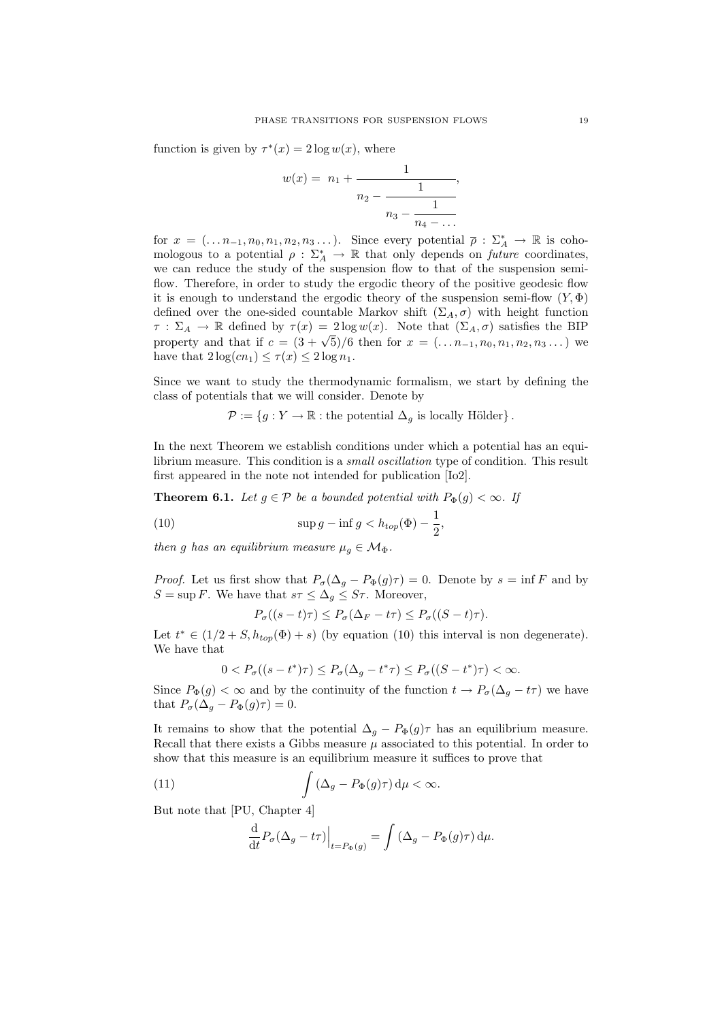function is given by  $\tau^*(x) = 2 \log w(x)$ , where

$$
w(x) = n_1 + \cfrac{1}{n_2 - \cfrac{1}{n_3 - \cfrac{1}{n_4 - \dots}}},
$$

for  $x = (\ldots n_{-1}, n_0, n_1, n_2, n_3, \ldots)$ . Since every potential  $\overline{\rho}: \Sigma_A^* \to \mathbb{R}$  is cohomologous to a potential  $\rho : \Sigma_A^* \to \mathbb{R}$  that only depends on *future* coordinates, we can reduce the study of the suspension flow to that of the suspension semiflow. Therefore, in order to study the ergodic theory of the positive geodesic flow it is enough to understand the ergodic theory of the suspension semi-flow  $(Y, \Phi)$ defined over the one-sided countable Markov shift ( $\Sigma_A, \sigma$ ) with height function  $\tau : \Sigma_A \to \mathbb{R}$  defined by  $\tau(x) = 2 \log w(x)$ . Note that  $(\Sigma_A, \sigma)$  satisfies the BIP  $\gamma : \mathbb{Z}_A \to \mathbb{R}$  defined by  $\tau(x) = 2 \log w(x)$ . Note that  $(\mathbb{Z}_A, o)$  satisfies the BIP<br>property and that if  $c = (3 + \sqrt{5})/6$  then for  $x = (\dots n_{-1}, n_0, n_1, n_2, n_3 \dots)$  we have that  $2\log(cn_1) \leq \tau(x) \leq 2\log n_1$ .

Since we want to study the thermodynamic formalism, we start by defining the class of potentials that we will consider. Denote by

 $\mathcal{P} := \{g : Y \to \mathbb{R} : \text{the potential } \Delta_g \text{ is locally Hölder}\}.$ 

In the next Theorem we establish conditions under which a potential has an equilibrium measure. This condition is a *small oscillation* type of condition. This result first appeared in the note not intended for publication [Io2].

**Theorem 6.1.** Let  $g \in \mathcal{P}$  be a bounded potential with  $P_{\Phi}(g) < \infty$ . If

(10) 
$$
\sup g - \inf g < h_{top}(\Phi) - \frac{1}{2},
$$

then g has an equilibrium measure  $\mu_g \in \mathcal{M}_{\Phi}$ .

*Proof.* Let us first show that  $P_{\sigma}(\Delta_g - P_{\Phi}(g)\tau) = 0$ . Denote by  $s = \inf F$  and by  $S = \sup F$ . We have that  $s\tau \leq \Delta_g \leq S\tau$ . Moreover,

$$
P_{\sigma}((s-t)\tau) \le P_{\sigma}(\Delta_F - t\tau) \le P_{\sigma}((S-t)\tau).
$$

Let  $t^* \in (1/2 + S, h_{top}(\Phi) + s)$  (by equation (10) this interval is non degenerate). We have that

$$
0 < P_{\sigma}((s - t^*)\tau) \le P_{\sigma}(\Delta_g - t^*\tau) \le P_{\sigma}((S - t^*)\tau) < \infty.
$$

Since  $P_{\Phi}(g) < \infty$  and by the continuity of the function  $t \to P_{\sigma}(\Delta_g - t\tau)$  we have that  $P_{\sigma}(\Delta_g - P_{\Phi}(g)\tau) = 0.$ 

It remains to show that the potential  $\Delta_g - P_{\Phi}(g) \tau$  has an equilibrium measure. Recall that there exists a Gibbs measure  $\mu$  associated to this potential. In order to show that this measure is an equilibrium measure it suffices to prove that

(11) 
$$
\int (\Delta_g - P_{\Phi}(g)\tau) d\mu < \infty.
$$

But note that [PU, Chapter 4]

$$
\frac{\mathrm{d}}{\mathrm{d}t} P_{\sigma}(\Delta_g - t\tau) \Big|_{t = P_{\Phi}(g)} = \int \left( \Delta_g - P_{\Phi}(g)\tau \right) \mathrm{d}\mu.
$$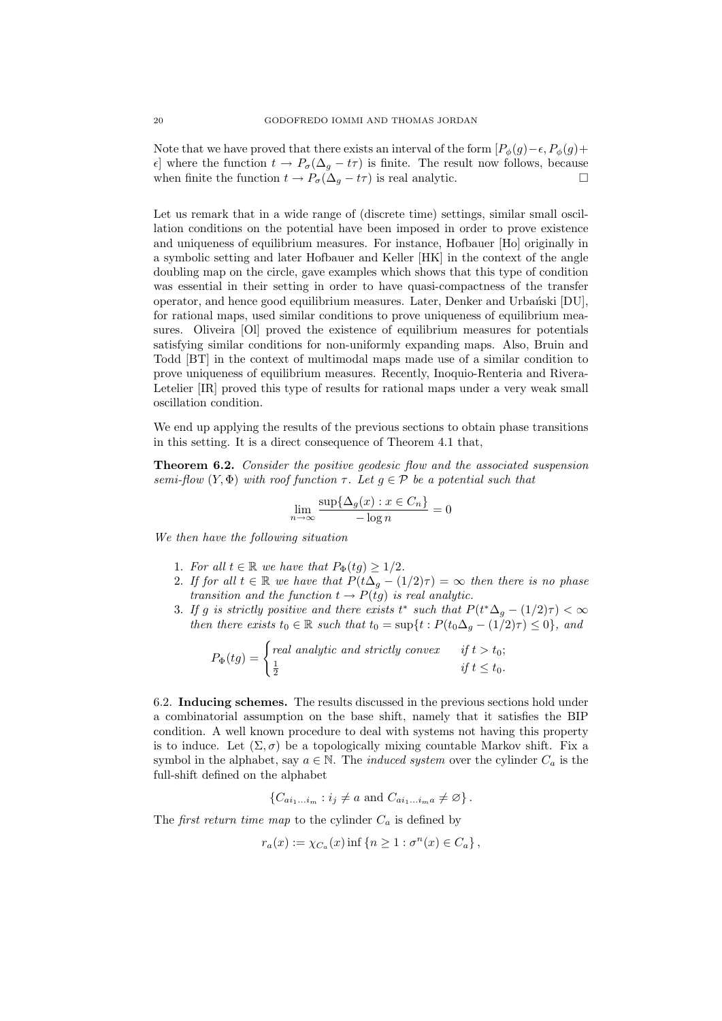Note that we have proved that there exists an interval of the form  $[P_{\phi}(g)-\epsilon, P_{\phi}(g)+]$  $\epsilon$ ] where the function  $t \to P_{\sigma}(\Delta_g - t\tau)$  is finite. The result now follows, because when finite the function  $t \to P_{\sigma}(\Delta_g - t\tau)$  is real analytic.

Let us remark that in a wide range of (discrete time) settings, similar small oscillation conditions on the potential have been imposed in order to prove existence and uniqueness of equilibrium measures. For instance, Hofbauer [Ho] originally in a symbolic setting and later Hofbauer and Keller [HK] in the context of the angle doubling map on the circle, gave examples which shows that this type of condition was essential in their setting in order to have quasi-compactness of the transfer operator, and hence good equilibrium measures. Later, Denker and Urbański [DU], for rational maps, used similar conditions to prove uniqueness of equilibrium measures. Oliveira [Ol] proved the existence of equilibrium measures for potentials satisfying similar conditions for non-uniformly expanding maps. Also, Bruin and Todd [BT] in the context of multimodal maps made use of a similar condition to prove uniqueness of equilibrium measures. Recently, Inoquio-Renteria and Rivera-Letelier [IR] proved this type of results for rational maps under a very weak small oscillation condition.

We end up applying the results of the previous sections to obtain phase transitions in this setting. It is a direct consequence of Theorem 4.1 that,

Theorem 6.2. Consider the positive geodesic flow and the associated suspension semi-flow  $(Y, \Phi)$  with roof function  $\tau$ . Let  $g \in \mathcal{P}$  be a potential such that

$$
\lim_{n \to \infty} \frac{\sup \{ \Delta_g(x) : x \in C_n \}}{-\log n} = 0
$$

We then have the following situation

- 1. For all  $t \in \mathbb{R}$  we have that  $P_{\Phi}(t) \geq 1/2$ .
- 2. If for all  $t \in \mathbb{R}$  we have that  $P(t\Delta_q (1/2)\tau) = \infty$  then there is no phase transition and the function  $t \to P(tg)$  is real analytic.
- 3. If g is strictly positive and there exists  $t^*$  such that  $P(t^*\Delta_g (1/2)\tau) < \infty$ then there exists  $t_0 \in \mathbb{R}$  such that  $t_0 = \sup\{t : P(t_0 \Delta_g - (1/2)\tau) \leq 0\}$ , and

$$
P_{\Phi}(tg) = \begin{cases} real \ analytic \ and \ strictly \ convex & \text{if } t > t_0; \\ \frac{1}{2} & \text{if } t \leq t_0. \end{cases}
$$

6.2. Inducing schemes. The results discussed in the previous sections hold under a combinatorial assumption on the base shift, namely that it satisfies the BIP condition. A well known procedure to deal with systems not having this property is to induce. Let  $(\Sigma, \sigma)$  be a topologically mixing countable Markov shift. Fix a symbol in the alphabet, say  $a \in \mathbb{N}$ . The *induced system* over the cylinder  $C_a$  is the full-shift defined on the alphabet

$$
\{C_{ai_1...i_m}: i_j \neq a \text{ and } C_{ai_1...i_ma} \neq \varnothing\}.
$$

The *first return time map* to the cylinder  $C_a$  is defined by

$$
r_a(x) := \chi_{C_a}(x) \inf \{ n \ge 1 : \sigma^n(x) \in C_a \},
$$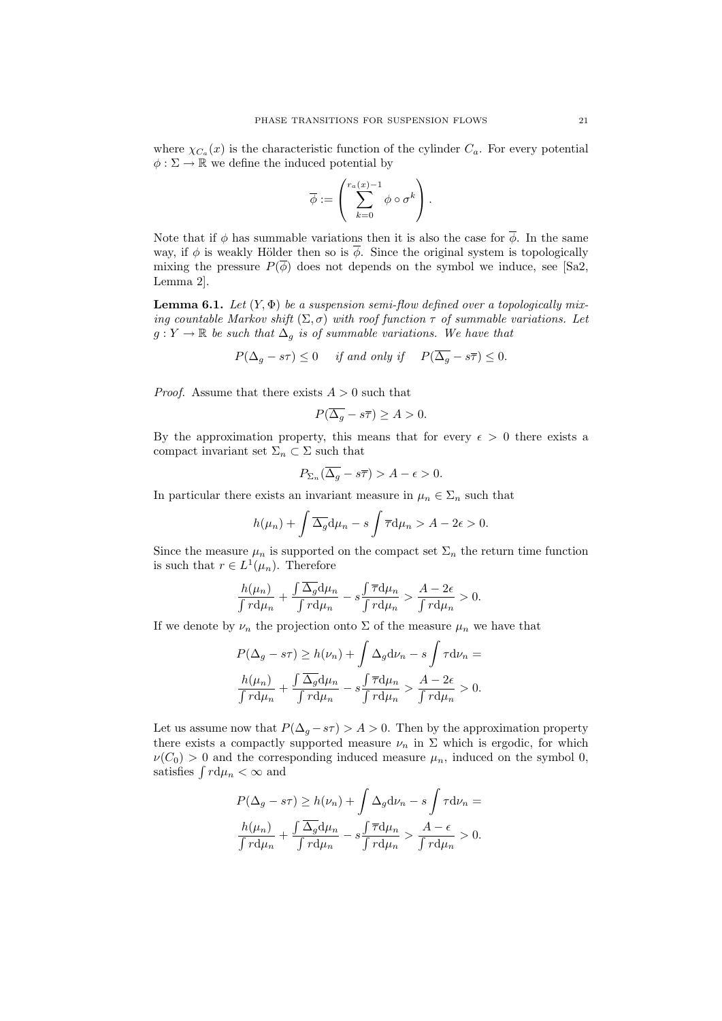where  $\chi_{C_a}(x)$  is the characteristic function of the cylinder  $C_a$ . For every potential  $\phi : \Sigma \to \mathbb{R}$  we define the induced potential by

$$
\overline{\phi}:=\left(\sum_{k=0}^{r_a(x)-1}\phi\circ\sigma^k\right).
$$

Note that if  $\phi$  has summable variations then it is also the case for  $\overline{\phi}$ . In the same way, if  $\phi$  is weakly Hölder then so is  $\overline{\phi}$ . Since the original system is topologically mixing the pressure  $P(\phi)$  does not depends on the symbol we induce, see [Sa2, Lemma 2].

**Lemma 6.1.** Let  $(Y, \Phi)$  be a suspension semi-flow defined over a topologically mixing countable Markov shift  $(\Sigma, \sigma)$  with roof function  $\tau$  of summable variations. Let  $g: Y \to \mathbb{R}$  be such that  $\Delta_g$  is of summable variations. We have that

$$
P(\Delta_g - s\tau) \le 0
$$
 if and only if  $P(\overline{\Delta_g} - s\overline{\tau}) \le 0$ .

*Proof.* Assume that there exists  $A > 0$  such that

$$
P(\overline{\Delta_g} - s\overline{\tau}) \ge A > 0.
$$

By the approximation property, this means that for every  $\epsilon > 0$  there exists a compact invariant set  $\Sigma_n \subset \Sigma$  such that

$$
P_{\Sigma_n}(\overline{\Delta_g}-s\overline{\tau})>A-\epsilon>0.
$$

In particular there exists an invariant measure in  $\mu_n \in \Sigma_n$  such that

$$
h(\mu_n) + \int \overline{\Delta_g} d\mu_n - s \int \overline{\tau} d\mu_n > A - 2\epsilon > 0.
$$

Since the measure  $\mu_n$  is supported on the compact set  $\Sigma_n$  the return time function is such that  $r \in L^1(\mu_n)$ . Therefore

$$
\frac{h(\mu_n)}{\int r d\mu_n} + \frac{\int \overline{\Delta_g} d\mu_n}{\int r d\mu_n} - s \frac{\int \overline{\tau} d\mu_n}{\int r d\mu_n} > \frac{A - 2\epsilon}{\int r d\mu_n} > 0.
$$

If we denote by  $\nu_n$  the projection onto  $\Sigma$  of the measure  $\mu_n$  we have that

$$
P(\Delta_g - s\tau) \ge h(\nu_n) + \int \Delta_g \mathrm{d}\nu_n - s \int \tau \mathrm{d}\nu_n =
$$
  

$$
\frac{h(\mu_n)}{\int r \mathrm{d}\mu_n} + \frac{\int \overline{\Delta_g} \mathrm{d}\mu_n}{\int r \mathrm{d}\mu_n} - s \frac{\int \overline{\tau} \mathrm{d}\mu_n}{\int r \mathrm{d}\mu_n} > \frac{A - 2\epsilon}{\int r \mathrm{d}\mu_n} > 0.
$$

Let us assume now that  $P(\Delta_g - s\tau) > A > 0$ . Then by the approximation property there exists a compactly supported measure  $\nu_n$  in  $\Sigma$  which is ergodic, for which  $\nu(C_0) > 0$  and the corresponding induced measure  $\mu_n$ , induced on the symbol 0, satisfies  $\int r d\mu_n < \infty$  and

$$
P(\Delta_g - s\tau) \ge h(\nu_n) + \int \Delta_g d\nu_n - s \int \tau d\nu_n =
$$
  

$$
\frac{h(\mu_n)}{\int r d\mu_n} + \frac{\int \overline{\Delta_g} d\mu_n}{\int r d\mu_n} - s \frac{\int \overline{\tau} d\mu_n}{\int r d\mu_n} > \frac{A - \epsilon}{\int r d\mu_n} > 0.
$$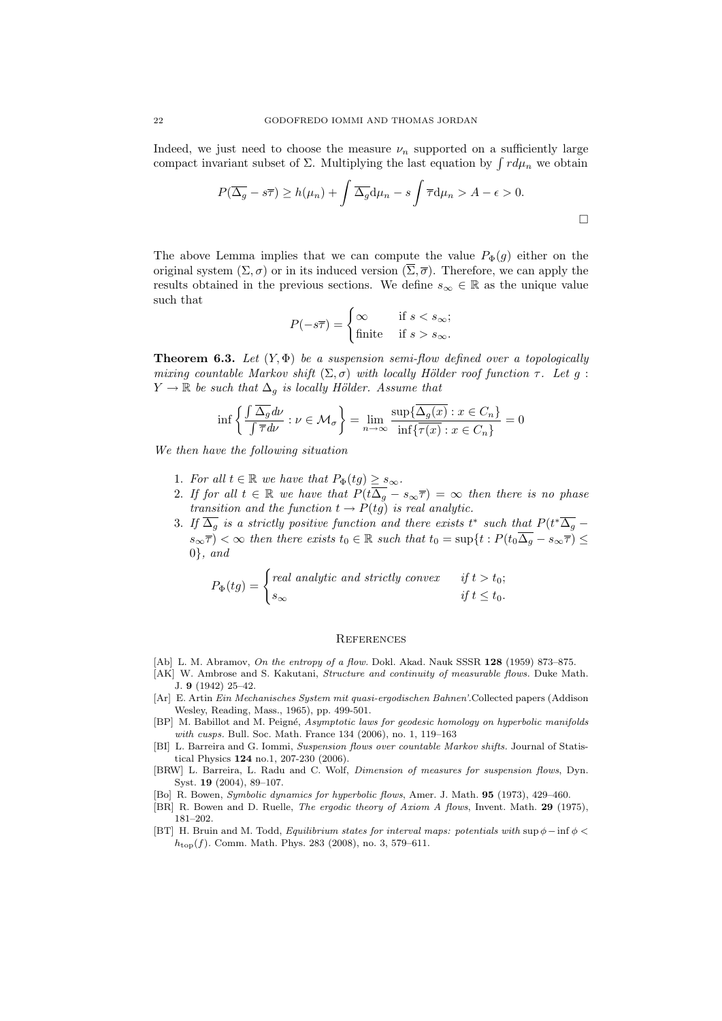Indeed, we just need to choose the measure  $\nu_n$  supported on a sufficiently large compact invariant subset of  $\Sigma$ . Multiplying the last equation by  $\int r d\mu_n$  we obtain

$$
P(\overline{\Delta_g} - s\overline{\tau}) \ge h(\mu_n) + \int \overline{\Delta_g} d\mu_n - s \int \overline{\tau} d\mu_n > A - \epsilon > 0.
$$

The above Lemma implies that we can compute the value  $P_{\Phi}(g)$  either on the original system  $(\Sigma, \sigma)$  or in its induced version  $(\overline{\Sigma}, \overline{\sigma})$ . Therefore, we can apply the results obtained in the previous sections. We define  $s_{\infty} \in \mathbb{R}$  as the unique value such that

$$
P(-s\overline{\tau}) = \begin{cases} \infty & \text{if } s < s_{\infty}; \\ \text{finite} & \text{if } s > s_{\infty}. \end{cases}
$$

**Theorem 6.3.** Let  $(Y, \Phi)$  be a suspension semi-flow defined over a topologically mixing countable Markov shift  $(\Sigma, \sigma)$  with locally Hölder roof function  $\tau$ . Let g:  $Y \to \mathbb{R}$  be such that  $\Delta_g$  is locally Hölder. Assume that

$$
\inf \left\{ \frac{\int \overline{\Delta_g} d\nu}{\int \overline{\tau} d\nu} : \nu \in \mathcal{M}_\sigma \right\} = \lim_{n \to \infty} \frac{\sup \{ \overline{\Delta_g(x)} : x \in C_n \}}{\inf \{ \overline{\tau(x)} : x \in C_n \}} = 0
$$

We then have the following situation

- 1. For all  $t \in \mathbb{R}$  we have that  $P_{\Phi}(tg) \geq s_{\infty}$ .
- 2. If for all  $t \in \mathbb{R}$  we have that  $P(t\overline{\Delta_g} s_{\infty}\overline{\tau}) = \infty$  then there is no phase transition and the function  $t \to P(tg)$  is real analytic.
- 3. If  $\overline{\Delta_g}$  is a strictly positive function and there exists t<sup>\*</sup> such that  $P(t^*\overline{\Delta_g}$  $s_{\infty}(\overline{\tau}) < \infty$  then there exists  $t_0 \in \mathbb{R}$  such that  $t_0 = \sup\{t : P(t_0\overline{\Delta_g} - s_{\infty}\overline{\tau}) \leq$  $0\}$ , and

$$
P_{\Phi}(tg) = \begin{cases} real \ analytic \ and \ strictly \ convex & \text{if } t > t_0; \\ s_{\infty} & \text{if } t \leq t_0. \end{cases}
$$

### **REFERENCES**

- [Ab] L. M. Abramov, On the entropy of a flow. Dokl. Akad. Nauk SSSR 128 (1959) 873-875.
- [AK] W. Ambrose and S. Kakutani, *Structure and continuity of measurable flows*. Duke Math. J. 9 (1942) 25–42.
- [Ar] E. Artin Ein Mechanisches System mit quasi-ergodischen Bahnen'.Collected papers (Addison Wesley, Reading, Mass., 1965), pp. 499-501.
- [BP] M. Babillot and M. Peigné, Asymptotic laws for geodesic homology on hyperbolic manifolds with cusps. Bull. Soc. Math. France 134 (2006), no. 1, 119–163
- [BI] L. Barreira and G. Iommi, Suspension flows over countable Markov shifts. Journal of Statistical Physics 124 no.1, 207-230 (2006).
- [BRW] L. Barreira, L. Radu and C. Wolf, Dimension of measures for suspension flows, Dyn. Syst. 19 (2004), 89–107.
- [Bo] R. Bowen, Symbolic dynamics for hyperbolic flows, Amer. J. Math. 95 (1973), 429–460.
- [BR] R. Bowen and D. Ruelle, The ergodic theory of Axiom A flows, Invent. Math. 29 (1975), 181–202.
- [BT] H. Bruin and M. Todd, Equilibrium states for interval maps: potentials with sup  $\phi$  inf  $\phi$  <  $h_{\text{top}}(f)$ . Comm. Math. Phys. 283 (2008), no. 3, 579–611.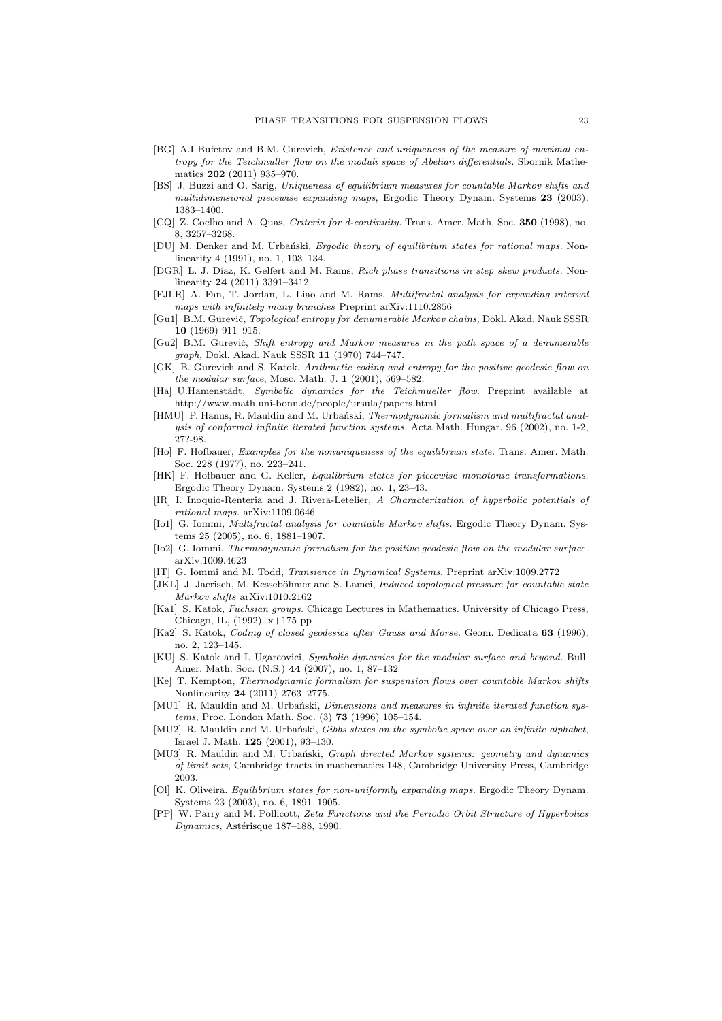- [BG] A.I Bufetov and B.M. Gurevich, Existence and uniqueness of the measure of maximal entropy for the Teichmuller flow on the moduli space of Abelian differentials. Sbornik Mathematics 202 (2011) 935–970.
- [BS] J. Buzzi and O. Sarig, Uniqueness of equilibrium measures for countable Markov shifts and multidimensional piecewise expanding maps, Ergodic Theory Dynam. Systems 23 (2003), 1383–1400.
- [CQ] Z. Coelho and A. Quas, Criteria for d-continuity. Trans. Amer. Math. Soc. 350 (1998), no. 8, 3257–3268.
- [DU] M. Denker and M. Urbański, Ergodic theory of equilibrium states for rational maps. Nonlinearity 4 (1991), no. 1, 103–134.
- [DGR] L. J. Díaz, K. Gelfert and M. Rams, Rich phase transitions in step skew products. Nonlinearity 24 (2011) 3391–3412.
- [FJLR] A. Fan, T. Jordan, L. Liao and M. Rams, Multifractal analysis for expanding interval maps with infinitely many branches Preprint arXiv:1110.2856
- [Gu1] B.M. Gurevič, Topological entropy for denumerable Markov chains, Dokl. Akad. Nauk SSSR 10 (1969) 911–915.
- [Gu2] B.M. Gurevič, Shift entropy and Markov measures in the path space of a denumerable graph, Dokl. Akad. Nauk SSSR 11 (1970) 744–747.
- [GK] B. Gurevich and S. Katok, Arithmetic coding and entropy for the positive geodesic flow on the modular surface, Mosc. Math. J.  $1$  (2001), 569–582.
- [Ha] U.Hamenstädt, Symbolic dynamics for the Teichmueller flow. Preprint available at http://www.math.uni-bonn.de/people/ursula/papers.html
- [HMU] P. Hanus, R. Mauldin and M. Urbański, Thermodynamic formalism and multifractal analysis of conformal infinite iterated function systems. Acta Math. Hungar. 96 (2002), no. 1-2, 27?-98.
- [Ho] F. Hofbauer, Examples for the nonuniqueness of the equilibrium state. Trans. Amer. Math. Soc. 228 (1977), no. 223–241.
- [HK] F. Hofbauer and G. Keller, Equilibrium states for piecewise monotonic transformations. Ergodic Theory Dynam. Systems 2 (1982), no. 1, 23–43.
- [IR] I. Inoquio-Renteria and J. Rivera-Letelier, A Characterization of hyperbolic potentials of rational maps. arXiv:1109.0646
- [Io1] G. Iommi, *Multifractal analysis for countable Markov shifts*. Ergodic Theory Dynam. Systems 25 (2005), no. 6, 1881–1907.
- [Io2] G. Iommi, Thermodynamic formalism for the positive geodesic flow on the modular surface. arXiv:1009.4623
- [IT] G. Iommi and M. Todd, Transience in Dynamical Systems. Preprint arXiv:1009.2772
- [JKL] J. Jaerisch, M. Kesseböhmer and S. Lamei, *Induced topological pressure for countable state* Markov shifts arXiv:1010.2162
- [Ka1] S. Katok, Fuchsian groups. Chicago Lectures in Mathematics. University of Chicago Press, Chicago, IL, (1992). x+175 pp
- [Ka2] S. Katok, Coding of closed geodesics after Gauss and Morse. Geom. Dedicata 63 (1996), no. 2, 123–145.
- [KU] S. Katok and I. Ugarcovici, Symbolic dynamics for the modular surface and beyond. Bull. Amer. Math. Soc. (N.S.) 44 (2007), no. 1, 87–132
- [Ke] T. Kempton, Thermodynamic formalism for suspension flows over countable Markov shifts Nonlinearity 24 (2011) 2763–2775.
- [MU1] R. Mauldin and M. Urbański, Dimensions and measures in infinite iterated function systems, Proc. London Math. Soc. (3) 73 (1996) 105–154.
- [MU2] R. Mauldin and M. Urbański, Gibbs states on the symbolic space over an infinite alphabet, Israel J. Math. 125 (2001), 93–130.
- [MU3] R. Mauldin and M. Urbański, *Graph directed Markov systems: geometry and dynamics* of limit sets, Cambridge tracts in mathematics 148, Cambridge University Press, Cambridge 2003.
- [Ol] K. Oliveira. Equilibrium states for non-uniformly expanding maps. Ergodic Theory Dynam. Systems 23 (2003), no. 6, 1891–1905.
- [PP] W. Parry and M. Pollicott, Zeta Functions and the Periodic Orbit Structure of Hyperbolics Dynamics, Astérisque 187-188, 1990.